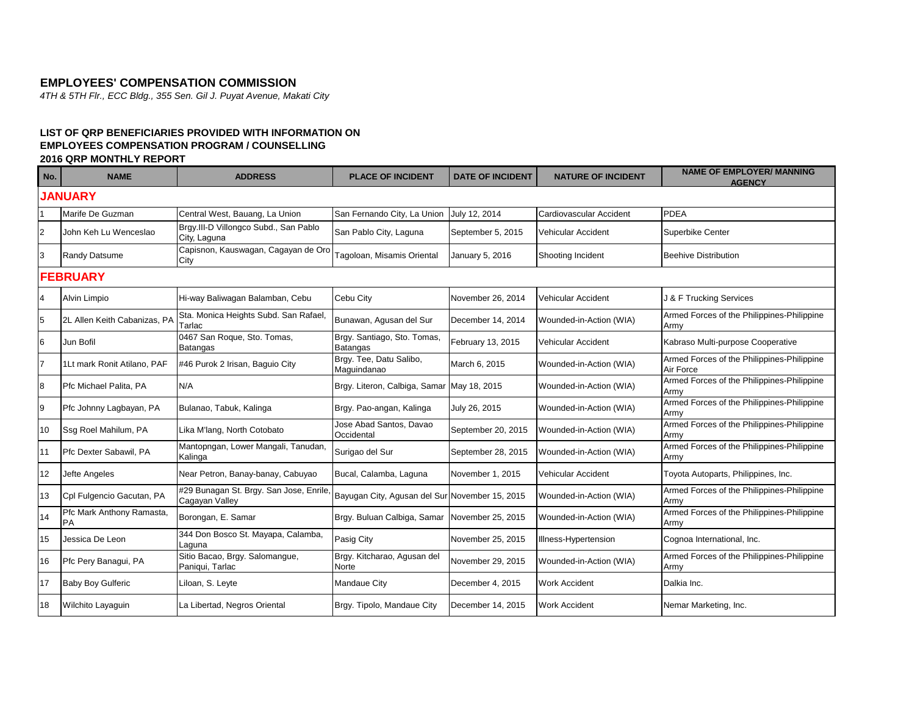## **EMPLOYEES' COMPENSATION COMMISSION**

*4TH & 5TH Flr., ECC Bldg., 355 Sen. Gil J. Puyat Avenue, Makati City*

## **LIST OF QRP BENEFICIARIES PROVIDED WITH INFORMATION ON EMPLOYEES COMPENSATION PROGRAM / COUNSELLING 2016 QRP MONTHLY REPORT**

| No.            | <b>NAME</b>                            | <b>ADDRESS</b>                                            | <b>PLACE OF INCIDENT</b>                       | <b>DATE OF INCIDENT</b> | <b>NATURE OF INCIDENT</b> | <b>NAME OF EMPLOYER/ MANNING</b><br><b>AGENCY</b>       |  |  |
|----------------|----------------------------------------|-----------------------------------------------------------|------------------------------------------------|-------------------------|---------------------------|---------------------------------------------------------|--|--|
|                | <b>JANUARY</b>                         |                                                           |                                                |                         |                           |                                                         |  |  |
|                | Marife De Guzman                       | Central West, Bauang, La Union                            | San Fernando City, La Union                    | July 12, 2014           | Cardiovascular Accident   | <b>PDEA</b>                                             |  |  |
| $\overline{2}$ | John Keh Lu Wenceslao                  | Brgy.III-D Villongco Subd., San Pablo<br>City, Laguna     | San Pablo City, Laguna                         | September 5, 2015       | Vehicular Accident        | Superbike Center                                        |  |  |
| 3              | <b>Randy Datsume</b>                   | Capisnon, Kauswagan, Cagayan de Oro<br>City               | Tagoloan, Misamis Oriental                     | January 5, 2016         | Shooting Incident         | <b>Beehive Distribution</b>                             |  |  |
|                | <b>FEBRUARY</b>                        |                                                           |                                                |                         |                           |                                                         |  |  |
| 4              | Alvin Limpio                           | Hi-way Baliwagan Balamban, Cebu                           | Cebu City                                      | November 26, 2014       | Vehicular Accident        | J & F Trucking Services                                 |  |  |
| 5              | 2L Allen Keith Cabanizas, PA           | Sta. Monica Heights Subd. San Rafael,<br>Tarlac           | Bunawan, Agusan del Sur                        | December 14, 2014       | Wounded-in-Action (WIA)   | Armed Forces of the Philippines-Philippine<br>Army      |  |  |
| 6              | Jun Bofil                              | 0467 San Roque, Sto. Tomas,<br>Batangas                   | Brgy. Santiago, Sto. Tomas,<br><b>Batangas</b> | February 13, 2015       | Vehicular Accident        | Kabraso Multi-purpose Cooperative                       |  |  |
| $\overline{7}$ | 1Lt mark Ronit Atilano, PAF            | #46 Purok 2 Irisan, Baquio City                           | Brgy. Tee, Datu Salibo,<br>Maguindanao         | March 6, 2015           | Wounded-in-Action (WIA)   | Armed Forces of the Philippines-Philippine<br>Air Force |  |  |
| 8              | Pfc Michael Palita, PA                 | N/A                                                       | Brgy. Literon, Calbiga, Samar                  | May 18, 2015            | Wounded-in-Action (WIA)   | Armed Forces of the Philippines-Philippine<br>Armv      |  |  |
| 9              | Pfc Johnny Lagbayan, PA                | Bulanao, Tabuk, Kalinga                                   | Brgy. Pao-angan, Kalinga                       | July 26, 2015           | Wounded-in-Action (WIA)   | Armed Forces of the Philippines-Philippine<br>Armv      |  |  |
| 10             | Ssg Roel Mahilum, PA                   | Lika M'lang, North Cotobato                               | Jose Abad Santos, Davao<br>Occidental          | September 20, 2015      | Wounded-in-Action (WIA)   | Armed Forces of the Philippines-Philippine<br>Armv      |  |  |
| 11             | Pfc Dexter Sabawil, PA                 | Mantopngan, Lower Mangali, Tanudan,<br>Kalinga            | Surigao del Sur                                | September 28, 2015      | Wounded-in-Action (WIA)   | Armed Forces of the Philippines-Philippine<br>Army      |  |  |
| 12             | Jefte Angeles                          | Near Petron, Banay-banay, Cabuyao                         | Bucal, Calamba, Laguna                         | November 1, 2015        | Vehicular Accident        | Toyota Autoparts, Philippines, Inc.                     |  |  |
| 13             | Cpl Fulgencio Gacutan, PA              | #29 Bunagan St. Brgy. San Jose, Enrile,<br>Cagayan Valley | Bayugan City, Agusan del Sur November 15, 2015 |                         | Wounded-in-Action (WIA)   | Armed Forces of the Philippines-Philippine<br>Army      |  |  |
| 14             | Pfc Mark Anthony Ramasta,<br><b>PA</b> | Borongan, E. Samar                                        | Brgy. Buluan Calbiga, Samar                    | November 25, 2015       | Wounded-in-Action (WIA)   | Armed Forces of the Philippines-Philippine<br>Army      |  |  |
| 15             | Jessica De Leon                        | 344 Don Bosco St. Mayapa, Calamba,<br>Laguna              | Pasig City                                     | November 25, 2015       | Illness-Hypertension      | Cognoa International, Inc.                              |  |  |
| 16             | Pfc Pery Banagui, PA                   | Sitio Bacao, Brgy. Salomangue,<br>Paniqui, Tarlac         | Brgy. Kitcharao, Agusan del<br>Norte           | November 29, 2015       | Wounded-in-Action (WIA)   | Armed Forces of the Philippines-Philippine<br>Armv      |  |  |
| 17             | <b>Baby Boy Gulferic</b>               | Liloan, S. Leyte                                          | Mandaue City                                   | December 4, 2015        | <b>Work Accident</b>      | Dalkia Inc.                                             |  |  |
| 18             | Wilchito Layaguin                      | La Libertad, Negros Oriental                              | Brgy. Tipolo, Mandaue City                     | December 14, 2015       | <b>Work Accident</b>      | Nemar Marketing, Inc.                                   |  |  |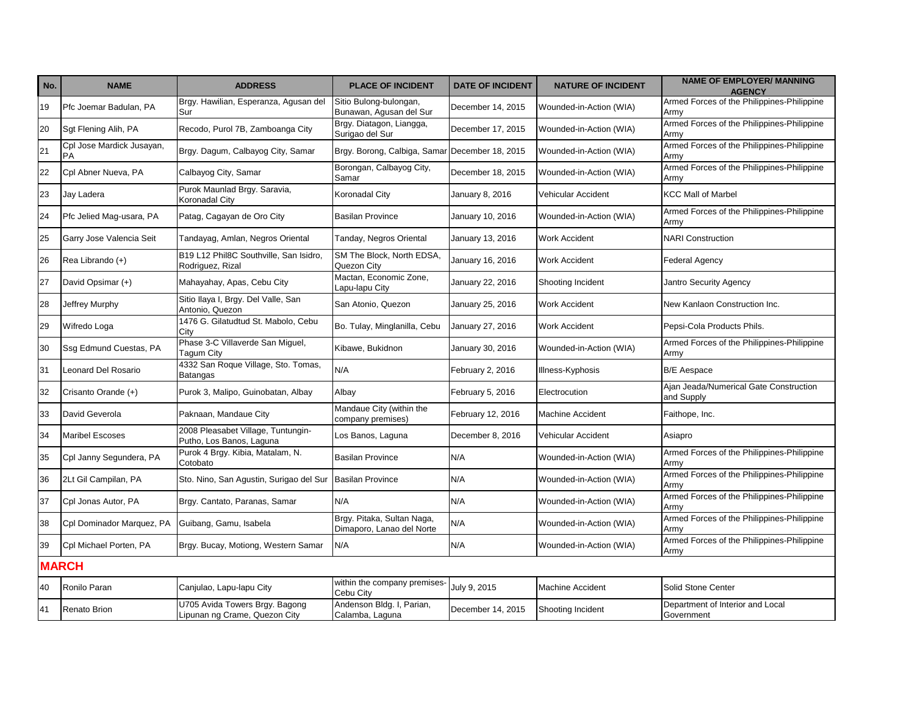| No. | <b>NAME</b>                            | <b>ADDRESS</b>                                                  | <b>PLACE OF INCIDENT</b>                                | <b>DATE OF INCIDENT</b> | <b>NATURE OF INCIDENT</b> | <b>NAME OF EMPLOYER/ MANNING</b><br><b>AGENCY</b>    |
|-----|----------------------------------------|-----------------------------------------------------------------|---------------------------------------------------------|-------------------------|---------------------------|------------------------------------------------------|
| 19  | Pfc Joemar Badulan, PA                 | Brgy. Hawilian, Esperanza, Agusan del<br>Sur                    | Sitio Bulong-bulongan,<br>Bunawan, Agusan del Sur       | December 14, 2015       | Wounded-in-Action (WIA)   | Armed Forces of the Philippines-Philippine<br>Armv   |
| 20  | Sgt Flening Alih, PA                   | Recodo, Purol 7B, Zamboanga City                                | Brgy. Diatagon, Liangga,<br>Surigao del Sur             | December 17, 2015       | Wounded-in-Action (WIA)   | Armed Forces of the Philippines-Philippine<br>Army   |
| 21  | Cpl Jose Mardick Jusayan,<br><b>PA</b> | Brgy. Dagum, Calbayog City, Samar                               | Brgy. Borong, Calbiga, Samar December 18, 2015          |                         | Wounded-in-Action (WIA)   | Armed Forces of the Philippines-Philippine<br>Armv   |
| 22  | Cpl Abner Nueva, PA                    | Calbayog City, Samar                                            | Borongan, Calbayog City,<br>Samar                       | December 18, 2015       | Wounded-in-Action (WIA)   | Armed Forces of the Philippines-Philippine<br>Army   |
| 23  | Jay Ladera                             | Purok Maunlad Brgy. Saravia,<br>Koronadal City                  | Koronadal City                                          | January 8, 2016         | Vehicular Accident        | <b>KCC Mall of Marbel</b>                            |
| 24  | Pfc Jelied Mag-usara, PA               | Patag, Cagayan de Oro City                                      | <b>Basilan Province</b>                                 | January 10, 2016        | Wounded-in-Action (WIA)   | Armed Forces of the Philippines-Philippine<br>Army   |
| 25  | Garry Jose Valencia Seit               | Tandayag, Amlan, Negros Oriental                                | Tanday, Negros Oriental                                 | January 13, 2016        | <b>Work Accident</b>      | <b>NARI Construction</b>                             |
| 26  | Rea Librando (+)                       | B19 L12 Phil8C Southville, San Isidro,<br>Rodriguez, Rizal      | SM The Block, North EDSA,<br>Quezon City                | January 16, 2016        | <b>Work Accident</b>      | <b>Federal Agency</b>                                |
| 27  | David Opsimar (+)                      | Mahayahay, Apas, Cebu City                                      | Mactan, Economic Zone,<br>Lapu-lapu City                | January 22, 2016        | Shooting Incident         | <b>Jantro Security Agency</b>                        |
| 28  | Jeffrey Murphy                         | Sitio Ilaya I, Brgy. Del Valle, San<br>Antonio. Quezon          | San Atonio, Quezon                                      | January 25, 2016        | <b>Work Accident</b>      | New Kanlaon Construction Inc.                        |
| 29  | Wifredo Loga                           | 1476 G. Gilatudtud St. Mabolo, Cebu<br>City                     | Bo. Tulay, Minglanilla, Cebu                            | January 27, 2016        | <b>Work Accident</b>      | Pepsi-Cola Products Phils.                           |
| 30  | Ssq Edmund Cuestas, PA                 | Phase 3-C Villaverde San Miguel,<br>Tagum City                  | Kibawe, Bukidnon                                        | January 30, 2016        | Wounded-in-Action (WIA)   | Armed Forces of the Philippines-Philippine<br>Army   |
| 31  | Leonard Del Rosario                    | 4332 San Roque Village, Sto. Tomas,<br><b>Batangas</b>          | N/A                                                     | February 2, 2016        | Illness-Kyphosis          | <b>B/E</b> Aespace                                   |
| 32  | Crisanto Orande (+)                    | Purok 3, Malipo, Guinobatan, Albay                              | Albay                                                   | February 5, 2016        | Electrocution             | Ajan Jeada/Numerical Gate Construction<br>and Supply |
| 33  | David Geverola                         | Paknaan, Mandaue City                                           | Mandaue City (within the<br>company premises)           | February 12, 2016       | <b>Machine Accident</b>   | Faithope, Inc.                                       |
| 34  | <b>Maribel Escoses</b>                 | 2008 Pleasabet Village, Tuntungin-<br>Putho, Los Banos, Laguna  | Los Banos, Laguna                                       | December 8, 2016        | Vehicular Accident        | Asiapro                                              |
| 35  | Cpl Janny Segundera, PA                | Purok 4 Brgy. Kibia, Matalam, N.<br>Cotobato                    | <b>Basilan Province</b>                                 | N/A                     | Wounded-in-Action (WIA)   | Armed Forces of the Philippines-Philippine<br>Army   |
| 36  | 2Lt Gil Campilan, PA                   | Sto. Nino, San Agustin, Surigao del Sur                         | <b>Basilan Province</b>                                 | N/A                     | Wounded-in-Action (WIA)   | Armed Forces of the Philippines-Philippine<br>Army   |
| 37  | Cpl Jonas Autor, PA                    | Brgy. Cantato, Paranas, Samar                                   | N/A                                                     | N/A                     | Wounded-in-Action (WIA)   | Armed Forces of the Philippines-Philippine<br>Army   |
| 38  | Cpl Dominador Marquez, PA              | Guibang, Gamu, Isabela                                          | Brgy. Pitaka, Sultan Naga,<br>Dimaporo, Lanao del Norte | N/A                     | Wounded-in-Action (WIA)   | Armed Forces of the Philippines-Philippine<br>Army   |
| 39  | Cpl Michael Porten, PA                 | Brgy. Bucay, Motiong, Western Samar                             | N/A                                                     | N/A                     | Wounded-in-Action (WIA)   | Armed Forces of the Philippines-Philippine<br>Army   |
|     | <b>MARCH</b>                           |                                                                 |                                                         |                         |                           |                                                      |
| 40  | Ronilo Paran                           | Canjulao, Lapu-lapu City                                        | within the company premises-<br>Cebu City               | July 9, 2015            | <b>Machine Accident</b>   | Solid Stone Center                                   |
| 41  | <b>Renato Brion</b>                    | U705 Avida Towers Brgy. Bagong<br>Lipunan ng Crame, Quezon City | Andenson Bldg. I, Parian,<br>Calamba, Laguna            | December 14, 2015       | Shooting Incident         | Department of Interior and Local<br>Government       |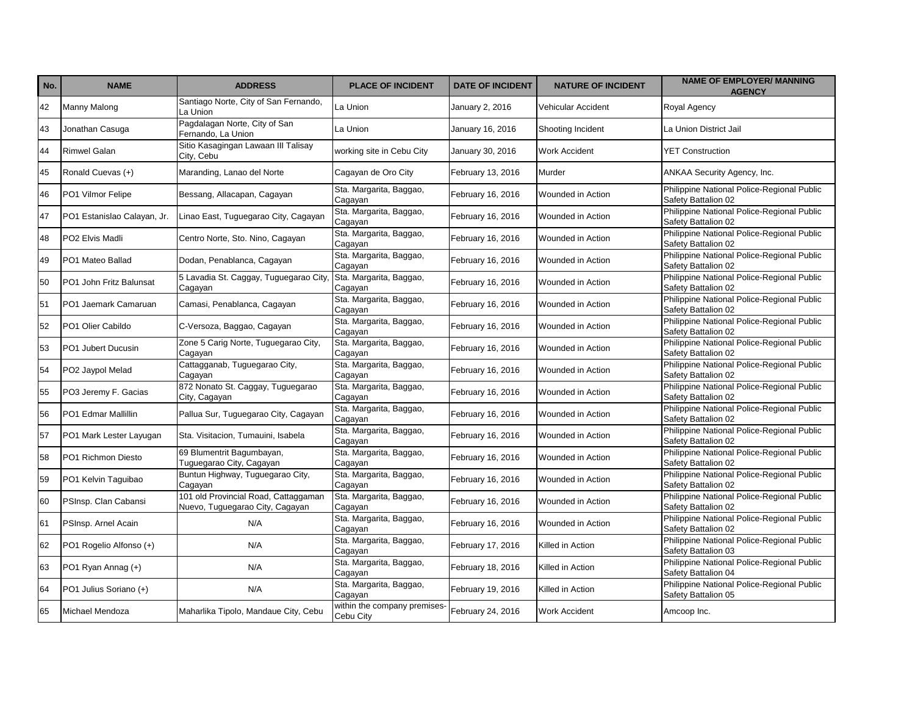| No. | <b>NAME</b>                 | <b>ADDRESS</b>                                                          | <b>PLACE OF INCIDENT</b>                  | <b>DATE OF INCIDENT</b> | <b>NATURE OF INCIDENT</b> | <b>NAME OF EMPLOYER/ MANNING</b><br><b>AGENCY</b>                 |
|-----|-----------------------------|-------------------------------------------------------------------------|-------------------------------------------|-------------------------|---------------------------|-------------------------------------------------------------------|
| 42  | Manny Malong                | Santiago Norte, City of San Fernando,<br>La Union                       | La Union                                  | January 2, 2016         | Vehicular Accident        | Royal Agency                                                      |
| 43  | Jonathan Casuga             | Pagdalagan Norte, City of San<br>Fernando, La Union                     | La Union                                  | January 16, 2016        | Shooting Incident         | La Union District Jail                                            |
| 44  | <b>Rimwel Galan</b>         | Sitio Kasagingan Lawaan III Talisay<br>City, Cebu                       | working site in Cebu City                 | January 30, 2016        | <b>Work Accident</b>      | <b>YET Construction</b>                                           |
| 45  | Ronald Cuevas (+)           | Maranding, Lanao del Norte                                              | Cagayan de Oro City                       | February 13, 2016       | Murder                    | ANKAA Security Agency, Inc.                                       |
| 46  | PO1 Vilmor Felipe           | Bessang, Allacapan, Cagayan                                             | Sta. Margarita, Baggao,<br>Cagayan        | February 16, 2016       | Wounded in Action         | Philippine National Police-Regional Public<br>Safety Battalion 02 |
| 47  | PO1 Estanislao Calayan, Jr. | Linao East, Tuguegarao City, Cagayan                                    | Sta. Margarita, Baggao,<br>Cagayan        | February 16, 2016       | Wounded in Action         | Philippine National Police-Regional Public<br>Safety Battalion 02 |
| 48  | PO2 Elvis Madli             | Centro Norte, Sto. Nino, Cagayan                                        | Sta. Margarita, Baggao,<br>Cagayan        | February 16, 2016       | Wounded in Action         | Philippine National Police-Regional Public<br>Safety Battalion 02 |
| 49  | PO1 Mateo Ballad            | Dodan, Penablanca, Cagayan                                              | Sta. Margarita, Baggao,<br>Cagayan        | February 16, 2016       | Wounded in Action         | Philippine National Police-Regional Public<br>Safety Battalion 02 |
| 50  | PO1 John Fritz Balunsat     | 5 Lavadia St. Caggay, Tuguegarao City,<br>Cagayan                       | Sta. Margarita, Baggao,<br>Cagayan        | February 16, 2016       | Wounded in Action         | Philippine National Police-Regional Public<br>Safety Battalion 02 |
| 51  | PO1 Jaemark Camaruan        | Camasi, Penablanca, Cagayan                                             | Sta. Margarita, Baggao,<br>Cagayan        | February 16, 2016       | Wounded in Action         | Philippine National Police-Regional Public<br>Safety Battalion 02 |
| 52  | PO1 Olier Cabildo           | C-Versoza, Baggao, Cagayan                                              | Sta. Margarita, Baggao,<br>Cagayan        | February 16, 2016       | Wounded in Action         | Philippine National Police-Regional Public<br>Safety Battalion 02 |
| 53  | PO1 Jubert Ducusin          | Zone 5 Carig Norte, Tuguegarao City,<br>Cagayan                         | Sta. Margarita, Baggao,<br>Cagayan        | February 16, 2016       | Wounded in Action         | Philippine National Police-Regional Public<br>Safety Battalion 02 |
| 54  | PO2 Jaypol Melad            | Cattagganab, Tuguegarao City,<br>Cagayan                                | Sta. Margarita, Baggao,<br>Cagayan        | February 16, 2016       | Wounded in Action         | Philippine National Police-Regional Public<br>Safety Battalion 02 |
| 55  | PO3 Jeremy F. Gacias        | 872 Nonato St. Caggay, Tuguegarao<br>City, Cagayan                      | Sta. Margarita, Baggao,<br>Cagayan        | February 16, 2016       | Wounded in Action         | Philippine National Police-Regional Public<br>Safety Battalion 02 |
| 56  | PO1 Edmar Mallillin         | Pallua Sur, Tuguegarao City, Cagayan                                    | Sta. Margarita, Baggao,<br>Cagayan        | February 16, 2016       | Wounded in Action         | Philippine National Police-Regional Public<br>Safety Battalion 02 |
| 57  | PO1 Mark Lester Layugan     | Sta. Visitacion, Tumauini, Isabela                                      | Sta. Margarita, Baggao,<br>Cagayan        | February 16, 2016       | Wounded in Action         | Philippine National Police-Regional Public<br>Safety Battalion 02 |
| 58  | PO1 Richmon Diesto          | 69 Blumentrit Bagumbayan,<br>Tuguegarao City, Cagayan                   | Sta. Margarita, Baggao,<br>Cagayan        | February 16, 2016       | Wounded in Action         | Philippine National Police-Regional Public<br>Safety Battalion 02 |
| 59  | PO1 Kelvin Taguibao         | Buntun Highway, Tuguegarao City,<br>Cagayan                             | Sta. Margarita, Baggao,<br>Cagayan        | February 16, 2016       | Wounded in Action         | Philippine National Police-Regional Public<br>Safety Battalion 02 |
| 60  | PSInsp. Clan Cabansi        | 101 old Provincial Road, Cattaggaman<br>Nuevo, Tuguegarao City, Cagayan | Sta. Margarita, Baggao,<br>Cagayan        | February 16, 2016       | Wounded in Action         | Philippine National Police-Regional Public<br>Safety Battalion 02 |
| 61  | PSInsp. Arnel Acain         | N/A                                                                     | Sta. Margarita, Baggao,<br>Cagayan        | February 16, 2016       | Wounded in Action         | Philippine National Police-Regional Public<br>Safety Battalion 02 |
| 62  | PO1 Rogelio Alfonso (+)     | N/A                                                                     | Sta. Margarita, Baggao,<br>Cagayan        | February 17, 2016       | Killed in Action          | Philippine National Police-Regional Public<br>Safety Battalion 03 |
| 63  | PO1 Ryan Annag (+)          | N/A                                                                     | Sta. Margarita, Baggao,<br>Cagayan        | February 18, 2016       | Killed in Action          | Philippine National Police-Regional Public<br>Safety Battalion 04 |
| 64  | PO1 Julius Soriano (+)      | N/A                                                                     | Sta. Margarita, Baggao,<br>Cagayan        | February 19, 2016       | Killed in Action          | Philippine National Police-Regional Public<br>Safety Battalion 05 |
| 65  | Michael Mendoza             | Maharlika Tipolo, Mandaue City, Cebu                                    | within the company premises-<br>Cebu City | February 24, 2016       | <b>Work Accident</b>      | Amcoop Inc.                                                       |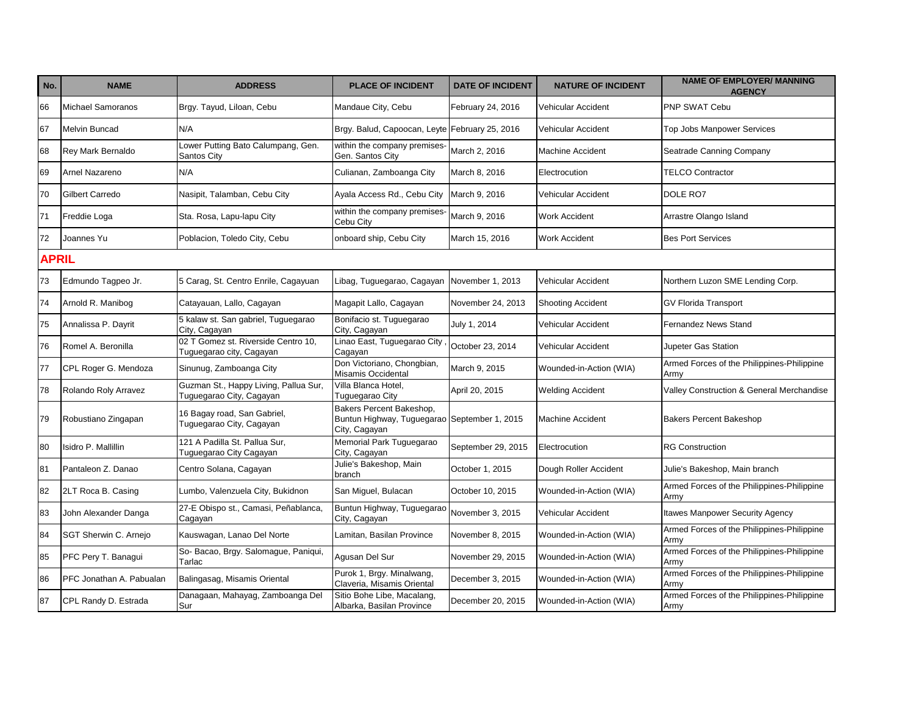| No.          | <b>NAME</b>              | <b>ADDRESS</b>                                                    | <b>PLACE OF INCIDENT</b>                                                                  | <b>DATE OF INCIDENT</b> | <b>NATURE OF INCIDENT</b> | <b>NAME OF EMPLOYER/ MANNING</b><br><b>AGENCY</b>  |
|--------------|--------------------------|-------------------------------------------------------------------|-------------------------------------------------------------------------------------------|-------------------------|---------------------------|----------------------------------------------------|
| 66           | <b>Michael Samoranos</b> | Brgy. Tayud, Liloan, Cebu                                         | Mandaue City, Cebu                                                                        | February 24, 2016       | Vehicular Accident        | <b>PNP SWAT Cebu</b>                               |
| 67           | <b>Melvin Buncad</b>     | N/A                                                               | Brgy. Balud, Capoocan, Leyte February 25, 2016                                            |                         | Vehicular Accident        | Top Jobs Manpower Services                         |
| 68           | Rey Mark Bernaldo        | Lower Putting Bato Calumpang, Gen.<br>Santos City                 | within the company premises-<br>Gen. Santos City                                          | March 2, 2016           | Machine Accident          | Seatrade Canning Company                           |
| 69           | Arnel Nazareno           | N/A                                                               | Culianan, Zamboanga City                                                                  | March 8, 2016           | Electrocution             | <b>TELCO Contractor</b>                            |
| 70           | Gilbert Carredo          | Nasipit, Talamban, Cebu City                                      | Ayala Access Rd., Cebu City                                                               | March 9, 2016           | Vehicular Accident        | DOLE RO7                                           |
| 71           | Freddie Loga             | Sta. Rosa, Lapu-lapu City                                         | within the company premises-<br>Cebu City                                                 | March 9, 2016           | <b>Work Accident</b>      | Arrastre Olango Island                             |
| 72           | Joannes Yu               | Poblacion, Toledo City, Cebu                                      | onboard ship, Cebu City                                                                   | March 15, 2016          | <b>Work Accident</b>      | <b>Bes Port Services</b>                           |
| <b>APRIL</b> |                          |                                                                   |                                                                                           |                         |                           |                                                    |
| 73           | Edmundo Tagpeo Jr.       | 5 Carag, St. Centro Enrile, Cagayuan                              | Libag, Tuguegarao, Cagayan                                                                | November 1, 2013        | Vehicular Accident        | Northern Luzon SME Lending Corp.                   |
| 74           | Arnold R. Manibog        | Catayauan, Lallo, Cagayan                                         | Magapit Lallo, Cagayan                                                                    | November 24, 2013       | <b>Shooting Accident</b>  | <b>GV Florida Transport</b>                        |
| 75           | Annalissa P. Dayrit      | 5 kalaw st. San gabriel, Tuguegarao<br>City, Cagayan              | Bonifacio st. Tuguegarao<br>City, Cagayan                                                 | July 1, 2014            | Vehicular Accident        | Fernandez News Stand                               |
| 76           | Romel A. Beronilla       | 02 T Gomez st. Riverside Centro 10,<br>Tuguegarao city, Cagayan   | Linao East, Tuguegarao City<br>Cagayan                                                    | October 23, 2014        | Vehicular Accident        | Jupeter Gas Station                                |
| 77           | CPL Roger G. Mendoza     | Sinunug, Zamboanga City                                           | Don Victoriano, Chongbian,<br>Misamis Occidental                                          | March 9, 2015           | Wounded-in-Action (WIA)   | Armed Forces of the Philippines-Philippine<br>Armv |
| 78           | Rolando Roly Arravez     | Guzman St., Happy Living, Pallua Sur,<br>Tuguegarao City, Cagayan | Villa Blanca Hotel,<br>Tuguegarao City                                                    | April 20, 2015          | <b>Welding Accident</b>   | Valley Construction & General Merchandise          |
| 79           | Robustiano Zingapan      | 16 Bagay road, San Gabriel,<br>Tuguegarao City, Cagayan           | Bakers Percent Bakeshop,<br>Buntun Highway, Tuguegarao September 1, 2015<br>City, Cagayan |                         | <b>Machine Accident</b>   | <b>Bakers Percent Bakeshop</b>                     |
| 80           | Isidro P. Mallillin      | 121 A Padilla St. Pallua Sur,<br>Tuguegarao City Cagayan          | Memorial Park Tuguegarao<br>City, Cagayan                                                 | September 29, 2015      | Electrocution             | <b>RG Construction</b>                             |
| 81           | Pantaleon Z. Danao       | Centro Solana, Cagayan                                            | Julie's Bakeshop, Main<br>branch                                                          | October 1, 2015         | Dough Roller Accident     | Julie's Bakeshop, Main branch                      |
| 82           | 2LT Roca B. Casing       | Lumbo, Valenzuela City, Bukidnon                                  | San Miguel, Bulacan                                                                       | October 10, 2015        | Wounded-in-Action (WIA)   | Armed Forces of the Philippines-Philippine<br>Armv |
| 83           | John Alexander Danga     | 27-E Obispo st., Camasi, Peñablanca,<br>Cagayan                   | Buntun Highway, Tuguegarao<br>City, Cagayan                                               | November 3, 2015        | Vehicular Accident        | <b>Itawes Manpower Security Agency</b>             |
| 84           | SGT Sherwin C. Arnejo    | Kauswagan, Lanao Del Norte                                        | Lamitan, Basilan Province                                                                 | November 8, 2015        | Wounded-in-Action (WIA)   | Armed Forces of the Philippines-Philippine<br>Army |
| 85           | PFC Pery T. Banagui      | So- Bacao, Brgy. Salomague, Paniqui,<br>Tarlac                    | Agusan Del Sur                                                                            | November 29, 2015       | Wounded-in-Action (WIA)   | Armed Forces of the Philippines-Philippine<br>Army |
| 86           | PFC Jonathan A. Pabualan | Balingasag, Misamis Oriental                                      | Purok 1, Brgy. Minalwang,<br>Claveria, Misamis Oriental                                   | December 3, 2015        | Wounded-in-Action (WIA)   | Armed Forces of the Philippines-Philippine<br>Army |
| 87           | CPL Randy D. Estrada     | Danagaan, Mahayag, Zamboanga Del<br>Sur                           | Sitio Bohe Libe, Macalang,<br>Albarka, Basilan Province                                   | December 20, 2015       | Wounded-in-Action (WIA)   | Armed Forces of the Philippines-Philippine<br>Army |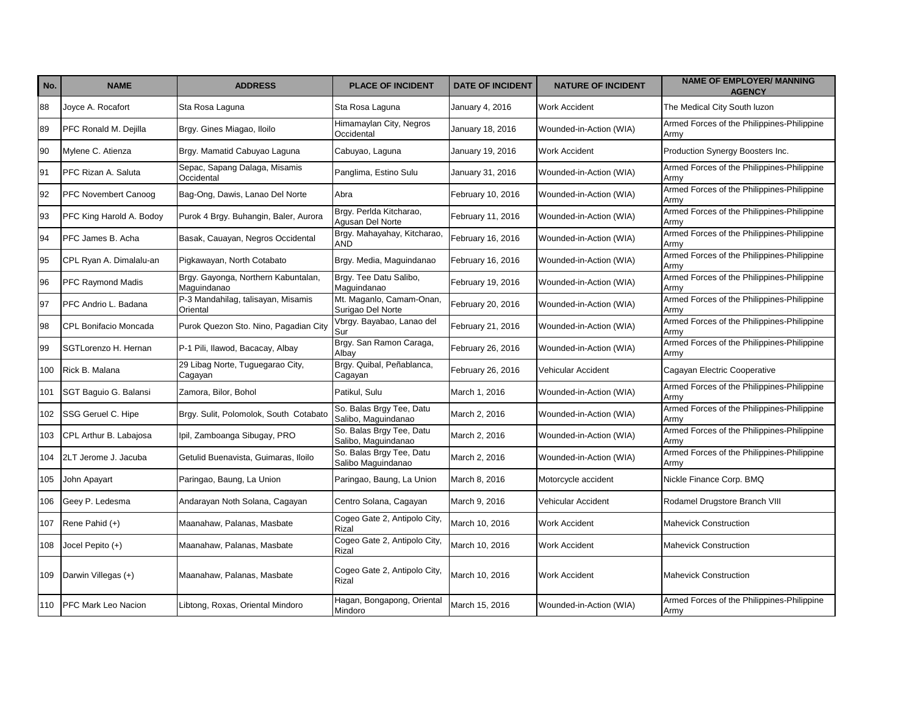| No. | <b>NAME</b>                | <b>ADDRESS</b>                                     | <b>PLACE OF INCIDENT</b>                        | <b>DATE OF INCIDENT</b> | <b>NATURE OF INCIDENT</b> | <b>NAME OF EMPLOYER/ MANNING</b><br><b>AGENCY</b>  |
|-----|----------------------------|----------------------------------------------------|-------------------------------------------------|-------------------------|---------------------------|----------------------------------------------------|
| 88  | Joyce A. Rocafort          | Sta Rosa Laguna                                    | Sta Rosa Laguna                                 | January 4, 2016         | <b>Work Accident</b>      | The Medical City South luzon                       |
| 89  | PFC Ronald M. Dejilla      | Brgy. Gines Miagao, Iloilo                         | Himamaylan City, Negros<br>Occidental           | January 18, 2016        | Wounded-in-Action (WIA)   | Armed Forces of the Philippines-Philippine<br>Army |
| 90  | Mylene C. Atienza          | Brgy. Mamatid Cabuyao Laguna                       | Cabuyao, Laguna                                 | January 19, 2016        | <b>Work Accident</b>      | Production Synergy Boosters Inc.                   |
| 91  | PFC Rizan A. Saluta        | Sepac, Sapang Dalaga, Misamis<br>Occidental        | Panglima, Estino Sulu                           | January 31, 2016        | Wounded-in-Action (WIA)   | Armed Forces of the Philippines-Philippine<br>Armv |
| 92  | PFC Novembert Canoog       | Bag-Ong, Dawis, Lanao Del Norte                    | Abra                                            | February 10, 2016       | Wounded-in-Action (WIA)   | Armed Forces of the Philippines-Philippine<br>Armv |
| 93  | PFC King Harold A. Bodoy   | Purok 4 Brgy. Buhangin, Baler, Aurora              | Brgy. Perlda Kitcharao,<br>Agusan Del Norte     | February 11, 2016       | Wounded-in-Action (WIA)   | Armed Forces of the Philippines-Philippine<br>Armv |
| 94  | PFC James B. Acha          | Basak, Cauayan, Negros Occidental                  | Brgy. Mahayahay, Kitcharao,<br><b>AND</b>       | February 16, 2016       | Wounded-in-Action (WIA)   | Armed Forces of the Philippines-Philippine<br>Armv |
| 95  | CPL Ryan A. Dimalalu-an    | Pigkawayan, North Cotabato                         | Brgy. Media, Maguindanao                        | February 16, 2016       | Wounded-in-Action (WIA)   | Armed Forces of the Philippines-Philippine<br>Armv |
| 96  | <b>PFC Raymond Madis</b>   | Brgy. Gayonga, Northern Kabuntalan,<br>Maguindanao | Brgy. Tee Datu Salibo,<br>Maguindanao           | February 19, 2016       | Wounded-in-Action (WIA)   | Armed Forces of the Philippines-Philippine<br>Army |
| 97  | PFC Andrio L. Badana       | P-3 Mandahilag, talisayan, Misamis<br>Oriental     | Mt. Maganlo, Camam-Onan,<br>Surigao Del Norte   | February 20, 2016       | Wounded-in-Action (WIA)   | Armed Forces of the Philippines-Philippine<br>Army |
| 98  | CPL Bonifacio Moncada      | Purok Quezon Sto. Nino, Pagadian City              | Vbrgy. Bayabao, Lanao del<br>Sur                | February 21, 2016       | Wounded-in-Action (WIA)   | Armed Forces of the Philippines-Philippine<br>Armv |
| 99  | SGTLorenzo H. Hernan       | P-1 Pili, Ilawod, Bacacay, Albay                   | Brgy. San Ramon Caraga,<br>Albay                | February 26, 2016       | Wounded-in-Action (WIA)   | Armed Forces of the Philippines-Philippine<br>Army |
| 100 | Rick B. Malana             | 29 Libag Norte, Tuguegarao City,<br>Cagayan        | Brgy. Quibal, Peñablanca,<br>Cagayan            | February 26, 2016       | <b>Vehicular Accident</b> | Cagayan Electric Cooperative                       |
| 101 | SGT Baguio G. Balansi      | Zamora, Bilor, Bohol                               | Patikul, Sulu                                   | March 1, 2016           | Wounded-in-Action (WIA)   | Armed Forces of the Philippines-Philippine<br>Army |
| 102 | SSG Geruel C. Hipe         | Brgy. Sulit, Polomolok, South Cotabato             | So. Balas Brgy Tee, Datu<br>Salibo, Maguindanao | March 2, 2016           | Wounded-in-Action (WIA)   | Armed Forces of the Philippines-Philippine<br>Armv |
| 103 | CPL Arthur B. Labajosa     | Ipil, Zamboanga Sibugay, PRO                       | So. Balas Brgy Tee, Datu<br>Salibo, Maguindanao | March 2, 2016           | Wounded-in-Action (WIA)   | Armed Forces of the Philippines-Philippine<br>Armv |
| 104 | I2LT Jerome J. Jacuba      | Getulid Buenavista, Guimaras, Iloilo               | So. Balas Brgy Tee, Datu<br>Salibo Maguindanao  | March 2, 2016           | Wounded-in-Action (WIA)   | Armed Forces of the Philippines-Philippine<br>Armv |
| 105 | John Apayart               | Paringao, Baung, La Union                          | Paringao, Baung, La Union                       | March 8, 2016           | Motorcycle accident       | Nickle Finance Corp. BMQ                           |
| 106 | Geey P. Ledesma            | Andarayan Noth Solana, Cagayan                     | Centro Solana, Cagayan                          | March 9, 2016           | Vehicular Accident        | Rodamel Drugstore Branch VIII                      |
| 107 | Rene Pahid (+)             | Maanahaw, Palanas, Masbate                         | Cogeo Gate 2, Antipolo City,<br>Rizal           | March 10, 2016          | Work Accident             | <b>Mahevick Construction</b>                       |
| 108 | Jocel Pepito (+)           | Maanahaw, Palanas, Masbate                         | Cogeo Gate 2, Antipolo City,<br>Rizal           | March 10, 2016          | Work Accident             | Mahevick Construction                              |
| 109 | Darwin Villegas (+)        | Maanahaw, Palanas, Masbate                         | Cogeo Gate 2, Antipolo City,<br>Rizal           | March 10, 2016          | <b>Work Accident</b>      | <b>Mahevick Construction</b>                       |
| 110 | <b>PFC Mark Leo Nacion</b> | Libtong, Roxas, Oriental Mindoro                   | Hagan, Bongapong, Oriental<br>Mindoro           | March 15, 2016          | Wounded-in-Action (WIA)   | Armed Forces of the Philippines-Philippine<br>Army |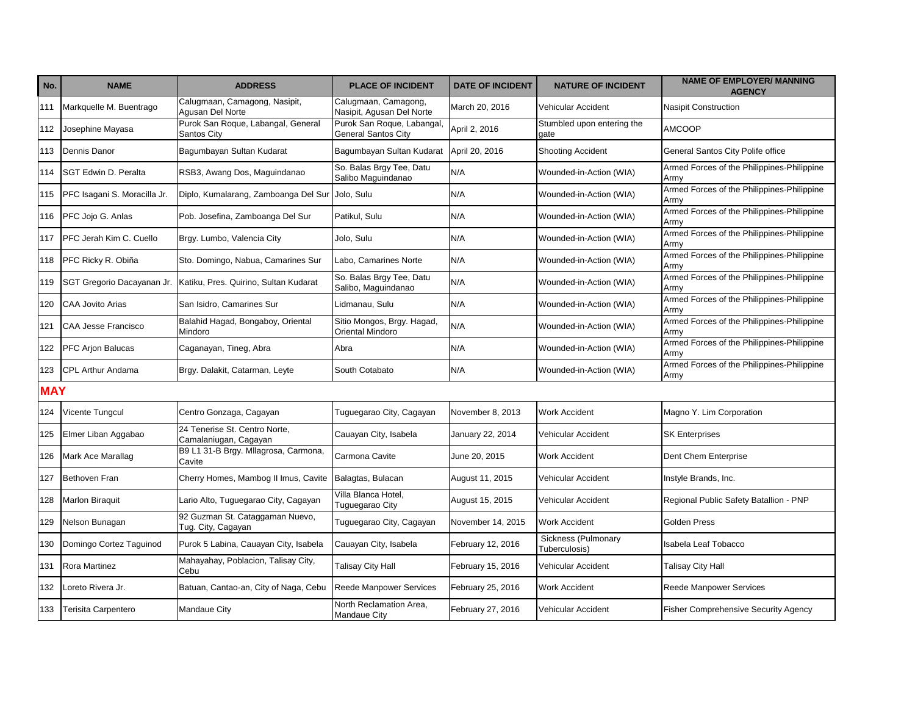| No.        | <b>NAME</b>                  | <b>ADDRESS</b>                                         | <b>PLACE OF INCIDENT</b>                          | <b>DATE OF INCIDENT</b> | <b>NATURE OF INCIDENT</b>            | <b>NAME OF EMPLOYER/ MANNING</b><br><b>AGENCY</b>  |
|------------|------------------------------|--------------------------------------------------------|---------------------------------------------------|-------------------------|--------------------------------------|----------------------------------------------------|
| 111        | Markquelle M. Buentrago      | Calugmaan, Camagong, Nasipit,<br>Agusan Del Norte      | Calugmaan, Camagong,<br>Nasipit, Agusan Del Norte | March 20, 2016          | Vehicular Accident                   | <b>Nasipit Construction</b>                        |
| 112        | Josephine Mayasa             | Purok San Roque, Labangal, General<br>Santos City      | Purok San Roque, Labangal,<br>General Santos City | April 2, 2016           | Stumbled upon entering the<br>qate   | <b>AMCOOP</b>                                      |
| 113        | Dennis Danor                 | Bagumbayan Sultan Kudarat                              | Bagumbayan Sultan Kudarat                         | April 20, 2016          | <b>Shooting Accident</b>             | General Santos City Polife office                  |
| 114        | SGT Edwin D. Peralta         | RSB3, Awang Dos, Maguindanao                           | So. Balas Brgy Tee, Datu<br>Salibo Maguindanao    | N/A                     | Wounded-in-Action (WIA)              | Armed Forces of the Philippines-Philippine<br>Army |
| 115        | PFC Isagani S. Moracilla Jr. | Diplo, Kumalarang, Zamboanga Del Sur                   | Jolo, Sulu                                        | N/A                     | Wounded-in-Action (WIA)              | Armed Forces of the Philippines-Philippine<br>Army |
| 116        | PFC Jojo G. Anlas            | Pob. Josefina, Zamboanga Del Sur                       | Patikul, Sulu                                     | N/A                     | Wounded-in-Action (WIA)              | Armed Forces of the Philippines-Philippine<br>Army |
| 117        | PFC Jerah Kim C. Cuello      | Brgy. Lumbo, Valencia City                             | Jolo, Sulu                                        | N/A                     | Wounded-in-Action (WIA)              | Armed Forces of the Philippines-Philippine<br>Army |
| 118        | PFC Ricky R. Obiña           | Sto. Domingo, Nabua, Camarines Sur                     | Labo, Camarines Norte                             | N/A                     | Wounded-in-Action (WIA)              | Armed Forces of the Philippines-Philippine<br>Army |
| 119        | SGT Gregorio Dacayanan Jr.   | Katiku, Pres. Quirino, Sultan Kudarat                  | So. Balas Brgy Tee, Datu<br>Salibo, Maguindanao   | N/A                     | Wounded-in-Action (WIA)              | Armed Forces of the Philippines-Philippine<br>Army |
| 120        | <b>CAA Jovito Arias</b>      | San Isidro, Camarines Sur                              | Lidmanau, Sulu                                    | N/A                     | Wounded-in-Action (WIA)              | Armed Forces of the Philippines-Philippine<br>Army |
| 121        | CAA Jesse Francisco          | Balahid Hagad, Bongaboy, Oriental<br>Mindoro           | Sitio Mongos, Brgy. Hagad,<br>Oriental Mindoro    | N/A                     | Wounded-in-Action (WIA)              | Armed Forces of the Philippines-Philippine<br>Army |
| 122        | PFC Arjon Balucas            | Caganayan, Tineg, Abra                                 | Abra                                              | N/A                     | Wounded-in-Action (WIA)              | Armed Forces of the Philippines-Philippine<br>Army |
| 123        | <b>CPL Arthur Andama</b>     | Brgy. Dalakit, Catarman, Leyte                         | South Cotabato                                    | N/A                     | Wounded-in-Action (WIA)              | Armed Forces of the Philippines-Philippine<br>Army |
| <b>MAY</b> |                              |                                                        |                                                   |                         |                                      |                                                    |
| 124        | Vicente Tungcul              | Centro Gonzaga, Cagayan                                | Tuguegarao City, Cagayan                          | November 8, 2013        | Work Accident                        | Magno Y. Lim Corporation                           |
| 125        | Elmer Liban Aggabao          | 24 Tenerise St. Centro Norte,<br>Camalaniugan, Cagayan | Cauayan City, Isabela                             | January 22, 2014        | Vehicular Accident                   | <b>SK Enterprises</b>                              |
| 126        | Mark Ace Marallag            | B9 L1 31-B Brgy. Milagrosa, Carmona,<br>Cavite         | Carmona Cavite                                    | June 20, 2015           | <b>Work Accident</b>                 | Dent Chem Enterprise                               |
| 127        | Bethoven Fran                | Cherry Homes, Mambog II Imus, Cavite                   | Balagtas, Bulacan                                 | August 11, 2015         | Vehicular Accident                   | Instyle Brands, Inc.                               |
| 128        | <b>Marlon Biraquit</b>       | Lario Alto, Tuguegarao City, Cagayan                   | Villa Blanca Hotel,<br>Tuguegarao City            | August 15, 2015         | Vehicular Accident                   | Regional Public Safety Batallion - PNP             |
| 129        | Nelson Bunagan               | 92 Guzman St. Cataggaman Nuevo,<br>Tug. City, Cagayan  | Tuguegarao City, Cagayan                          | November 14, 2015       | <b>Work Accident</b>                 | <b>Golden Press</b>                                |
| 130        | Domingo Cortez Taguinod      | Purok 5 Labina, Cauayan City, Isabela                  | Cauayan City, Isabela                             | February 12, 2016       | Sickness (Pulmonary<br>Tuberculosis) | <b>Isabela Leaf Tobacco</b>                        |
| 131        | Rora Martinez                | Mahayahay, Poblacion, Talisay City,<br>Cebu            | Talisay City Hall                                 | February 15, 2016       | Vehicular Accident                   | <b>Talisay City Hall</b>                           |
| 132        | Loreto Rivera Jr.            | Batuan, Cantao-an, City of Naga, Cebu                  | <b>Reede Manpower Services</b>                    | February 25, 2016       | <b>Work Accident</b>                 | <b>Reede Manpower Services</b>                     |
| 133        | <b>Terisita Carpentero</b>   | <b>Mandaue City</b>                                    | North Reclamation Area,<br>Mandaue City           | February 27, 2016       | Vehicular Accident                   | <b>Fisher Comprehensive Security Agency</b>        |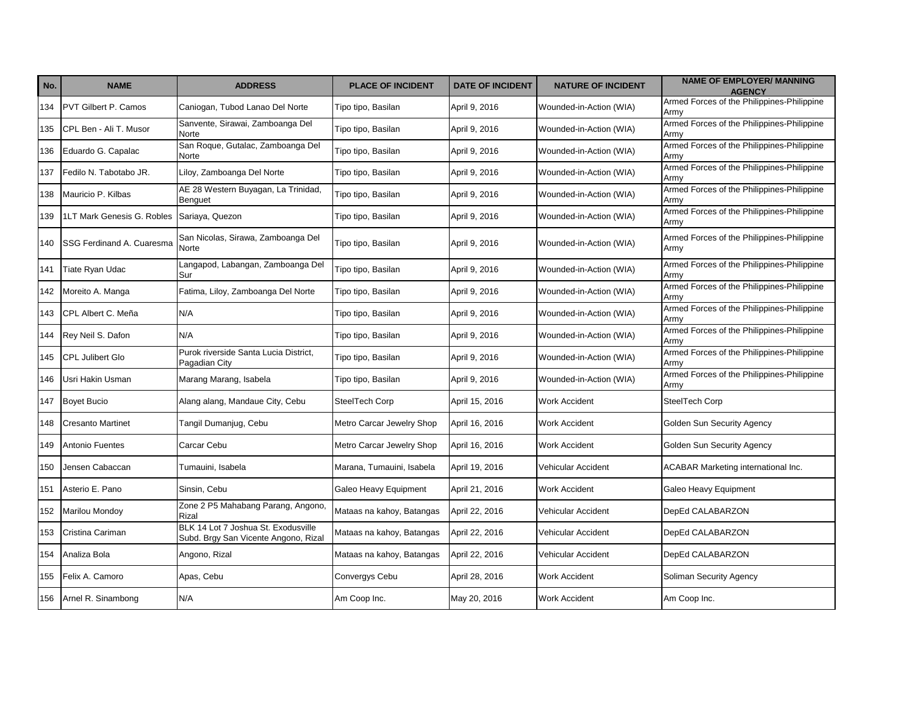| No. | <b>NAME</b>                 | <b>ADDRESS</b>                                                              | <b>PLACE OF INCIDENT</b>  | <b>DATE OF INCIDENT</b> | <b>NATURE OF INCIDENT</b> | <b>NAME OF EMPLOYER/ MANNING</b><br><b>AGENCY</b>  |
|-----|-----------------------------|-----------------------------------------------------------------------------|---------------------------|-------------------------|---------------------------|----------------------------------------------------|
| 134 | <b>PVT Gilbert P. Camos</b> | Caniogan, Tubod Lanao Del Norte                                             | Tipo tipo, Basilan        | April 9, 2016           | Wounded-in-Action (WIA)   | Armed Forces of the Philippines-Philippine<br>Army |
| 135 | CPL Ben - Ali T. Musor      | Sanvente, Sirawai, Zamboanga Del<br>Norte                                   | Tipo tipo, Basilan        | April 9, 2016           | Wounded-in-Action (WIA)   | Armed Forces of the Philippines-Philippine<br>Army |
| 136 | Eduardo G. Capalac          | San Roque, Gutalac, Zamboanga Del<br>Norte                                  | Tipo tipo, Basilan        | April 9, 2016           | Wounded-in-Action (WIA)   | Armed Forces of the Philippines-Philippine<br>Army |
| 137 | Fedilo N. Tabotabo JR.      | Liloy, Zamboanga Del Norte                                                  | Tipo tipo, Basilan        | April 9, 2016           | Wounded-in-Action (WIA)   | Armed Forces of the Philippines-Philippine<br>Army |
| 138 | Mauricio P. Kilbas          | AE 28 Western Buyagan, La Trinidad,<br><b>Benguet</b>                       | Tipo tipo, Basilan        | April 9, 2016           | Wounded-in-Action (WIA)   | Armed Forces of the Philippines-Philippine<br>Armv |
| 139 | 1LT Mark Genesis G. Robles  | Sariaya, Quezon                                                             | Tipo tipo, Basilan        | April 9, 2016           | Wounded-in-Action (WIA)   | Armed Forces of the Philippines-Philippine<br>Army |
| 140 | SSG Ferdinand A. Cuaresma   | San Nicolas, Sirawa, Zamboanga Del<br>Norte                                 | Tipo tipo, Basilan        | April 9, 2016           | Wounded-in-Action (WIA)   | Armed Forces of the Philippines-Philippine<br>Army |
| 141 | Tiate Ryan Udac             | Langapod, Labangan, Zamboanga Del<br>Sur                                    | Tipo tipo, Basilan        | April 9, 2016           | Wounded-in-Action (WIA)   | Armed Forces of the Philippines-Philippine<br>Army |
| 142 | Moreito A. Manga            | Fatima, Liloy, Zamboanga Del Norte                                          | Tipo tipo, Basilan        | April 9, 2016           | Wounded-in-Action (WIA)   | Armed Forces of the Philippines-Philippine<br>Army |
| 143 | CPL Albert C. Meña          | N/A                                                                         | Tipo tipo, Basilan        | April 9, 2016           | Wounded-in-Action (WIA)   | Armed Forces of the Philippines-Philippine<br>Army |
| 144 | Rey Neil S. Dafon           | N/A                                                                         | Tipo tipo, Basilan        | April 9, 2016           | Wounded-in-Action (WIA)   | Armed Forces of the Philippines-Philippine<br>Army |
| 145 | CPL Julibert Glo            | Purok riverside Santa Lucia District,<br>Pagadian City                      | Tipo tipo, Basilan        | April 9, 2016           | Wounded-in-Action (WIA)   | Armed Forces of the Philippines-Philippine<br>Army |
| 146 | Usri Hakin Usman            | Marang Marang, Isabela                                                      | Tipo tipo, Basilan        | April 9, 2016           | Wounded-in-Action (WIA)   | Armed Forces of the Philippines-Philippine<br>Armv |
| 147 | <b>Boyet Bucio</b>          | Alang alang, Mandaue City, Cebu                                             | SteelTech Corp            | April 15, 2016          | <b>Work Accident</b>      | SteelTech Corp                                     |
| 148 | <b>Cresanto Martinet</b>    | Tangil Dumanjug, Cebu                                                       | Metro Carcar Jewelry Shop | April 16, 2016          | <b>Work Accident</b>      | Golden Sun Security Agency                         |
| 149 | Antonio Fuentes             | Carcar Cebu                                                                 | Metro Carcar Jewelry Shop | April 16, 2016          | <b>Work Accident</b>      | Golden Sun Security Agency                         |
| 150 | Jensen Cabaccan             | Tumauini, Isabela                                                           | Marana, Tumauini, Isabela | April 19, 2016          | Vehicular Accident        | <b>ACABAR Marketing international Inc.</b>         |
| 151 | Asterio E. Pano             | Sinsin, Cebu                                                                | Galeo Heavy Equipment     | April 21, 2016          | Work Accident             | Galeo Heavy Equipment                              |
| 152 | Marilou Mondoy              | Zone 2 P5 Mahabang Parang, Angono,<br>Rizal                                 | Mataas na kahoy, Batangas | April 22, 2016          | Vehicular Accident        | DepEd CALABARZON                                   |
| 153 | Cristina Cariman            | BLK 14 Lot 7 Joshua St. Exodusville<br>Subd. Brgy San Vicente Angono, Rizal | Mataas na kahoy, Batangas | April 22, 2016          | Vehicular Accident        | DepEd CALABARZON                                   |
| 154 | Analiza Bola                | Angono, Rizal                                                               | Mataas na kahoy, Batangas | April 22, 2016          | Vehicular Accident        | DepEd CALABARZON                                   |
| 155 | Felix A. Camoro             | Apas, Cebu                                                                  | Convergys Cebu            | April 28, 2016          | <b>Work Accident</b>      | Soliman Security Agency                            |
| 156 | Arnel R. Sinambong          | N/A                                                                         | Am Coop Inc.              | May 20, 2016            | <b>Work Accident</b>      | Am Coop Inc.                                       |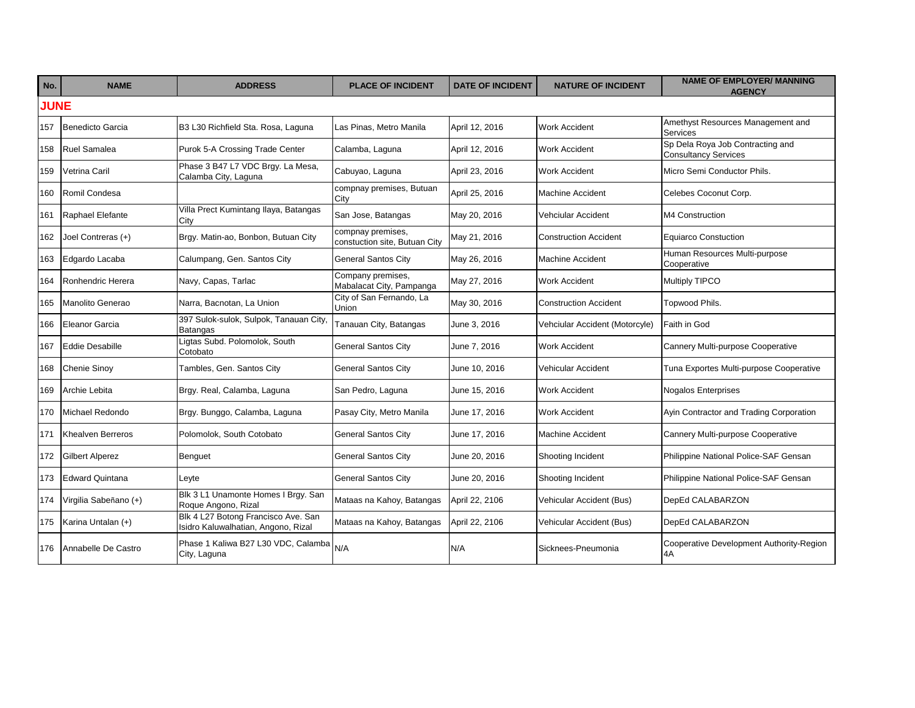| No.         | <b>NAME</b>              | <b>ADDRESS</b>                                                             | <b>PLACE OF INCIDENT</b>                           | <b>DATE OF INCIDENT</b> | <b>NATURE OF INCIDENT</b>      | <b>NAME OF EMPLOYER/ MANNING</b><br><b>AGENCY</b>               |
|-------------|--------------------------|----------------------------------------------------------------------------|----------------------------------------------------|-------------------------|--------------------------------|-----------------------------------------------------------------|
| <b>JUNE</b> |                          |                                                                            |                                                    |                         |                                |                                                                 |
| 157         | Benedicto Garcia         | B3 L30 Richfield Sta. Rosa, Laguna                                         | Las Pinas. Metro Manila                            | April 12, 2016          | <b>Work Accident</b>           | Amethyst Resources Management and<br>Services                   |
| 158         | <b>Ruel Samalea</b>      | Purok 5-A Crossing Trade Center                                            | Calamba, Laguna                                    | April 12, 2016          | Work Accident                  | Sp Dela Roya Job Contracting and<br><b>Consultancy Services</b> |
| 159         | Vetrina Caril            | Phase 3 B47 L7 VDC Brgy. La Mesa,<br>Calamba City, Laguna                  | Cabuyao, Laguna                                    | April 23, 2016          | Work Accident                  | Micro Semi Conductor Phils.                                     |
| 160         | Romil Condesa            |                                                                            | compnay premises, Butuan<br>City                   | April 25, 2016          | <b>Machine Accident</b>        | Celebes Coconut Corp.                                           |
| 161         | Raphael Elefante         | Villa Prect Kumintang Ilaya, Batangas<br>City                              | San Jose, Batangas                                 | May 20, 2016            | Vehciular Accident             | M4 Construction                                                 |
| 162         | Joel Contreras (+)       | Brgy. Matin-ao, Bonbon, Butuan City                                        | compnay premises,<br>constuction site, Butuan City | May 21, 2016            | Construction Accident          | <b>Equiarco Constuction</b>                                     |
| 163         | Edgardo Lacaba           | Calumpang, Gen. Santos City                                                | <b>General Santos City</b>                         | May 26, 2016            | <b>Machine Accident</b>        | Human Resources Multi-purpose<br>Cooperative                    |
| 164         | Ronhendric Herera        | Navy, Capas, Tarlac                                                        | Company premises,<br>Mabalacat City, Pampanga      | May 27, 2016            | <b>Work Accident</b>           | <b>Multiply TIPCO</b>                                           |
| 165         | Manolito Generao         | Narra, Bacnotan, La Union                                                  | City of San Fernando, La<br>Union                  | May 30, 2016            | Construction Accident          | Topwood Phils.                                                  |
| 166         | Eleanor Garcia           | 397 Sulok-sulok, Sulpok, Tanauan City.<br>Batangas                         | Tanauan City, Batangas                             | June 3, 2016            | Vehciular Accident (Motorcyle) | Faith in God                                                    |
| 167         | Eddie Desabille          | Ligtas Subd. Polomolok, South<br>Cotobato                                  | <b>General Santos City</b>                         | June 7, 2016            | <b>Work Accident</b>           | Cannery Multi-purpose Cooperative                               |
| 168         | <b>Chenie Sinoy</b>      | Tambles, Gen. Santos City                                                  | <b>General Santos City</b>                         | June 10, 2016           | Vehicular Accident             | Tuna Exportes Multi-purpose Cooperative                         |
| 169         | Archie Lebita            | Brgy. Real, Calamba, Laguna                                                | San Pedro, Laguna                                  | June 15, 2016           | Work Accident                  | <b>Nogalos Enterprises</b>                                      |
| 170         | Michael Redondo          | Brgy. Bunggo, Calamba, Laguna                                              | Pasay City, Metro Manila                           | June 17, 2016           | Work Accident                  | Ayin Contractor and Trading Corporation                         |
| 171         | <b>Khealven Berreros</b> | Polomolok, South Cotobato                                                  | <b>General Santos City</b>                         | June 17, 2016           | <b>Machine Accident</b>        | Cannery Multi-purpose Cooperative                               |
| 172         | <b>Gilbert Alperez</b>   | Benguet                                                                    | <b>General Santos City</b>                         | June 20, 2016           | Shooting Incident              | Philippine National Police-SAF Gensan                           |
| 173         | <b>Edward Quintana</b>   | Leyte                                                                      | <b>General Santos City</b>                         | June 20, 2016           | Shooting Incident              | Philippine National Police-SAF Gensan                           |
| 174         | Virgilia Sabeñano (+)    | Blk 3 L1 Unamonte Homes I Brgy. San<br>Roque Angono, Rizal                 | Mataas na Kahoy, Batangas                          | April 22, 2106          | Vehicular Accident (Bus)       | DepEd CALABARZON                                                |
| 175         | Karina Untalan (+)       | Blk 4 L27 Botong Francisco Ave. San<br>Isidro Kaluwalhatian, Angono, Rizal | Mataas na Kahoy, Batangas                          | April 22, 2106          | Vehicular Accident (Bus)       | DepEd CALABARZON                                                |
| 176         | Annabelle De Castro      | Phase 1 Kaliwa B27 L30 VDC, Calamba<br>City, Laguna                        | N/A                                                | N/A                     | Sicknees-Pneumonia             | Cooperative Development Authority-Region<br>4A                  |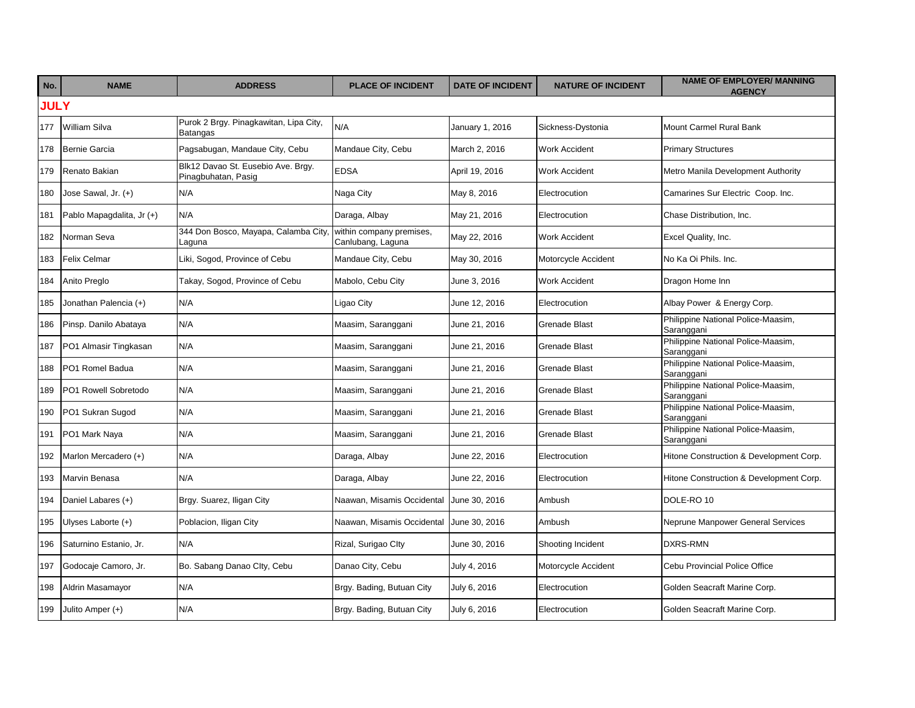| No.         | <b>NAME</b>               | <b>ADDRESS</b>                                            | <b>PLACE OF INCIDENT</b>                      | <b>DATE OF INCIDENT</b> | <b>NATURE OF INCIDENT</b> | <b>NAME OF EMPLOYER/ MANNING</b><br><b>AGENCY</b> |  |  |  |
|-------------|---------------------------|-----------------------------------------------------------|-----------------------------------------------|-------------------------|---------------------------|---------------------------------------------------|--|--|--|
| <b>JULY</b> |                           |                                                           |                                               |                         |                           |                                                   |  |  |  |
| 177         | <b>William Silva</b>      | Purok 2 Brgy. Pinagkawitan, Lipa City,<br>Batangas        | N/A                                           | January 1, 2016         | Sickness-Dystonia         | Mount Carmel Rural Bank                           |  |  |  |
| 178         | Bernie Garcia             | Pagsabugan, Mandaue City, Cebu                            | Mandaue City, Cebu                            | March 2, 2016           | <b>Work Accident</b>      | <b>Primary Structures</b>                         |  |  |  |
| 179         | Renato Bakian             | Blk12 Davao St. Eusebio Ave. Brgy.<br>Pinagbuhatan, Pasig | <b>EDSA</b>                                   | April 19, 2016          | <b>Work Accident</b>      | Metro Manila Development Authority                |  |  |  |
| 180         | Jose Sawal, Jr. (+)       | N/A                                                       | Naga City                                     | May 8, 2016             | Electrocution             | Camarines Sur Electric Coop. Inc.                 |  |  |  |
| 181         | Pablo Mapagdalita, Jr (+) | N/A                                                       | Daraga, Albay                                 | May 21, 2016            | Electrocution             | Chase Distribution, Inc.                          |  |  |  |
| 182         | Norman Seva               | 344 Don Bosco, Mayapa, Calamba City,<br>Laguna            | within company premises,<br>Canlubang, Laguna | May 22, 2016            | <b>Work Accident</b>      | Excel Quality, Inc.                               |  |  |  |
| 183         | <b>Felix Celmar</b>       | Liki, Sogod, Province of Cebu                             | Mandaue City, Cebu                            | May 30, 2016            | Motorcycle Accident       | No Ka Oi Phils, Inc.                              |  |  |  |
| 184         | Anito Preglo              | Takay, Sogod, Province of Cebu                            | Mabolo, Cebu City                             | June 3, 2016            | <b>Work Accident</b>      | Dragon Home Inn                                   |  |  |  |
| 185         | Jonathan Palencia (+)     | N/A                                                       | Ligao City                                    | June 12, 2016           | Electrocution             | Albay Power & Energy Corp.                        |  |  |  |
| 186         | Pinsp. Danilo Abataya     | N/A                                                       | Maasim, Saranggani                            | June 21, 2016           | <b>Grenade Blast</b>      | Philippine National Police-Maasim,<br>Saranggani  |  |  |  |
| 187         | PO1 Almasir Tingkasan     | N/A                                                       | Maasim, Saranggani                            | June 21, 2016           | <b>Grenade Blast</b>      | Philippine National Police-Maasim,<br>Saranggani  |  |  |  |
| 188         | PO1 Romel Badua           | N/A                                                       | Maasim, Saranggani                            | June 21, 2016           | <b>Grenade Blast</b>      | Philippine National Police-Maasim,<br>Saranggani  |  |  |  |
| 189         | PO1 Rowell Sobretodo      | N/A                                                       | Maasim, Saranggani                            | June 21, 2016           | <b>Grenade Blast</b>      | Philippine National Police-Maasim,<br>Saranggani  |  |  |  |
| 190         | PO1 Sukran Sugod          | N/A                                                       | Maasim, Saranggani                            | June 21, 2016           | <b>Grenade Blast</b>      | Philippine National Police-Maasim,<br>Saranggani  |  |  |  |
| 191         | PO1 Mark Naya             | N/A                                                       | Maasim, Saranggani                            | June 21, 2016           | <b>Grenade Blast</b>      | Philippine National Police-Maasim,<br>Saranggani  |  |  |  |
| 192         | Marlon Mercadero (+)      | N/A                                                       | Daraga, Albay                                 | June 22, 2016           | Electrocution             | Hitone Construction & Development Corp.           |  |  |  |
| 193         | Marvin Benasa             | N/A                                                       | Daraga, Albay                                 | June 22, 2016           | Electrocution             | Hitone Construction & Development Corp.           |  |  |  |
| 194         | Daniel Labares (+)        | Brgy. Suarez, Iligan City                                 | Naawan, Misamis Occidental                    | June 30, 2016           | Ambush                    | DOLE-RO 10                                        |  |  |  |
| 195         | Ulyses Laborte (+)        | Poblacion, Iligan City                                    | Naawan, Misamis Occidental                    | June 30, 2016           | Ambush                    | Neprune Manpower General Services                 |  |  |  |
| 196         | Saturnino Estanio, Jr.    | N/A                                                       | Rizal, Surigao Clty                           | June 30, 2016           | Shooting Incident         | <b>DXRS-RMN</b>                                   |  |  |  |
| 197         | Godocaje Camoro, Jr.      | Bo. Sabang Danao Clty, Cebu                               | Danao City, Cebu                              | July 4, 2016            | Motorcycle Accident       | Cebu Provincial Police Office                     |  |  |  |
| 198         | Aldrin Masamayor          | N/A                                                       | Brgy. Bading, Butuan City                     | July 6, 2016            | Electrocution             | Golden Seacraft Marine Corp.                      |  |  |  |
| 199         | Julito Amper (+)          | N/A                                                       | Brgy. Bading, Butuan City                     | July 6, 2016            | Electrocution             | Golden Seacraft Marine Corp.                      |  |  |  |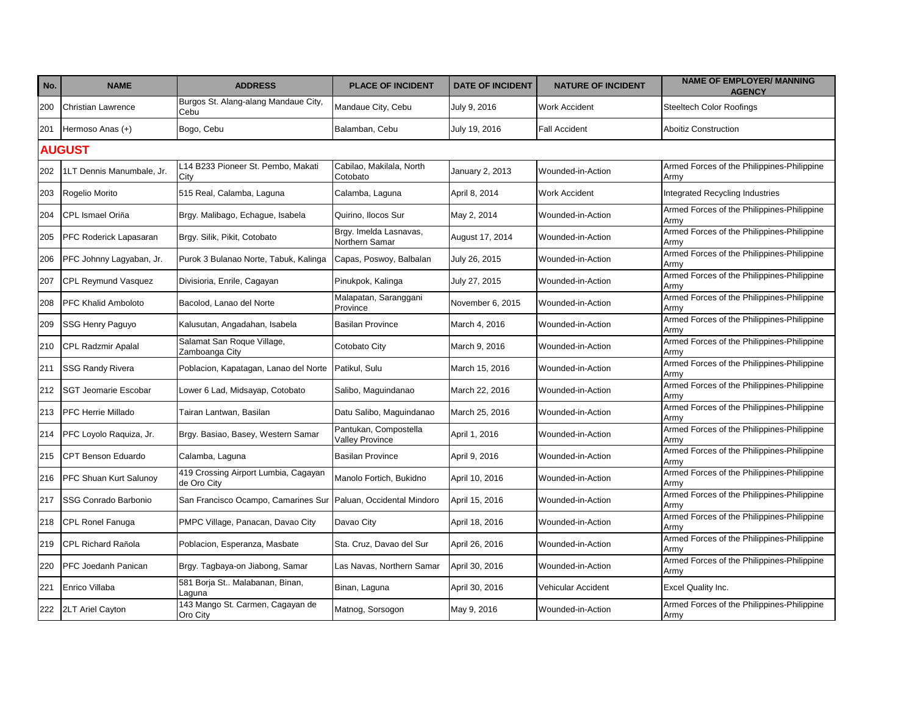| No. | <b>NAME</b>                 | <b>ADDRESS</b>                                      | <b>PLACE OF INCIDENT</b>                        | <b>DATE OF INCIDENT</b> | <b>NATURE OF INCIDENT</b> | <b>NAME OF EMPLOYER/ MANNING</b><br><b>AGENCY</b>  |  |  |  |
|-----|-----------------------------|-----------------------------------------------------|-------------------------------------------------|-------------------------|---------------------------|----------------------------------------------------|--|--|--|
| 200 | <b>Christian Lawrence</b>   | Burgos St. Alang-alang Mandaue City,<br>Cebu        | Mandaue City, Cebu                              | July 9, 2016            | <b>Work Accident</b>      | <b>Steeltech Color Roofings</b>                    |  |  |  |
| 201 | Hermoso Anas (+)            | Bogo, Cebu                                          | Balamban, Cebu                                  | July 19, 2016           | <b>Fall Accident</b>      | <b>Aboitiz Construction</b>                        |  |  |  |
|     | <b>AUGUST</b>               |                                                     |                                                 |                         |                           |                                                    |  |  |  |
| 202 | 1LT Dennis Manumbale, Jr.   | L14 B233 Pioneer St. Pembo, Makati<br>City          | Cabilao, Makilala, North<br>Cotobato            | January 2, 2013         | Wounded-in-Action         | Armed Forces of the Philippines-Philippine<br>Army |  |  |  |
| 203 | Rogelio Morito              | 515 Real, Calamba, Laguna                           | Calamba, Laguna                                 | April 8, 2014           | <b>Work Accident</b>      | Integrated Recycling Industries                    |  |  |  |
| 204 | CPL Ismael Oriña            | Brgy. Malibago, Echague, Isabela                    | Quirino, Ilocos Sur                             | May 2, 2014             | Wounded-in-Action         | Armed Forces of the Philippines-Philippine<br>Army |  |  |  |
| 205 | PFC Roderick Lapasaran      | Brgy. Silik, Pikit, Cotobato                        | Brgy. Imelda Lasnavas,<br>Northern Samar        | August 17, 2014         | Wounded-in-Action         | Armed Forces of the Philippines-Philippine<br>Army |  |  |  |
| 206 | PFC Johnny Lagyaban, Jr.    | Purok 3 Bulanao Norte, Tabuk, Kalinga               | Capas, Poswoy, Balbalan                         | July 26, 2015           | Wounded-in-Action         | Armed Forces of the Philippines-Philippine<br>Army |  |  |  |
| 207 | <b>CPL Reymund Vasquez</b>  | Divisioria, Enrile, Cagayan                         | Pinukpok, Kalinga                               | July 27, 2015           | Wounded-in-Action         | Armed Forces of the Philippines-Philippine<br>Armv |  |  |  |
| 208 | <b>PFC Khalid Amboloto</b>  | Bacolod. Lanao del Norte                            | Malapatan, Saranggani<br>Province               | November 6, 2015        | Wounded-in-Action         | Armed Forces of the Philippines-Philippine<br>Army |  |  |  |
| 209 | SSG Henry Paguyo            | Kalusutan, Angadahan, Isabela                       | <b>Basilan Province</b>                         | March 4, 2016           | Wounded-in-Action         | Armed Forces of the Philippines-Philippine<br>Army |  |  |  |
| 210 | <b>CPL Radzmir Apalal</b>   | Salamat San Roque Village,<br>Zamboanga City        | Cotobato City                                   | March 9, 2016           | Wounded-in-Action         | Armed Forces of the Philippines-Philippine<br>Armv |  |  |  |
| 211 | <b>SSG Randy Rivera</b>     | Poblacion, Kapatagan, Lanao del Norte               | Patikul. Sulu                                   | March 15, 2016          | Wounded-in-Action         | Armed Forces of the Philippines-Philippine<br>Army |  |  |  |
| 212 | <b>SGT Jeomarie Escobar</b> | Lower 6 Lad, Midsayap, Cotobato                     | Salibo, Maguindanao                             | March 22, 2016          | Wounded-in-Action         | Armed Forces of the Philippines-Philippine<br>Army |  |  |  |
| 213 | <b>PFC Herrie Millado</b>   | Tairan Lantwan, Basilan                             | Datu Salibo, Maguindanao                        | March 25, 2016          | Wounded-in-Action         | Armed Forces of the Philippines-Philippine<br>Army |  |  |  |
| 214 | PFC Loyolo Raquiza, Jr.     | Brgy. Basiao, Basey, Western Samar                  | Pantukan, Compostella<br><b>Valley Province</b> | April 1, 2016           | Wounded-in-Action         | Armed Forces of the Philippines-Philippine<br>Army |  |  |  |
| 215 | CPT Benson Eduardo          | Calamba, Laguna                                     | <b>Basilan Province</b>                         | April 9, 2016           | Wounded-in-Action         | Armed Forces of the Philippines-Philippine<br>Armv |  |  |  |
| 216 | PFC Shuan Kurt Salunoy      | 419 Crossing Airport Lumbia, Cagayan<br>de Oro City | Manolo Fortich, Bukidno                         | April 10, 2016          | Wounded-in-Action         | Armed Forces of the Philippines-Philippine<br>Army |  |  |  |
| 217 | SSG Conrado Barbonio        | San Francisco Ocampo, Camarines Sur                 | Paluan, Occidental Mindoro                      | April 15, 2016          | Wounded-in-Action         | Armed Forces of the Philippines-Philippine<br>Army |  |  |  |
| 218 | CPL Ronel Fanuga            | PMPC Village, Panacan, Davao City                   | Davao City                                      | April 18, 2016          | Wounded-in-Action         | Armed Forces of the Philippines-Philippine<br>Army |  |  |  |
| 219 | <b>CPL Richard Rañola</b>   | Poblacion, Esperanza, Masbate                       | Sta. Cruz, Davao del Sur                        | April 26, 2016          | Wounded-in-Action         | Armed Forces of the Philippines-Philippine<br>Army |  |  |  |
| 220 | PFC Joedanh Panican         | Brgy. Tagbaya-on Jiabong, Samar                     | Las Navas, Northern Samar                       | April 30, 2016          | Wounded-in-Action         | Armed Forces of the Philippines-Philippine<br>Army |  |  |  |
| 221 | Enrico Villaba              | 581 Borja St Malabanan, Binan,<br>Laguna            | Binan, Laguna                                   | April 30, 2016          | Vehicular Accident        | Excel Quality Inc.                                 |  |  |  |
| 222 | 2LT Ariel Cayton            | 143 Mango St. Carmen, Cagayan de<br>Oro City        | Matnog, Sorsogon                                | May 9, 2016             | Wounded-in-Action         | Armed Forces of the Philippines-Philippine<br>Army |  |  |  |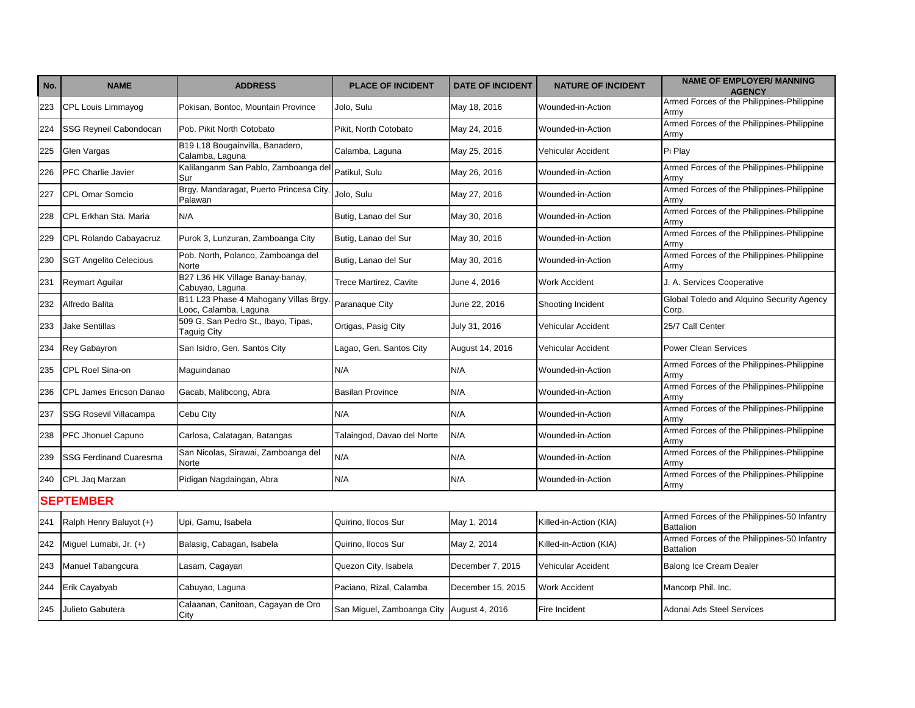| No. | <b>NAME</b>                    | <b>ADDRESS</b>                                                | <b>PLACE OF INCIDENT</b>      | <b>DATE OF INCIDENT</b> | <b>NATURE OF INCIDENT</b> | <b>NAME OF EMPLOYER/ MANNING</b><br><b>AGENCY</b>               |
|-----|--------------------------------|---------------------------------------------------------------|-------------------------------|-------------------------|---------------------------|-----------------------------------------------------------------|
| 223 | <b>CPL Louis Limmayog</b>      | Pokisan, Bontoc, Mountain Province                            | Jolo, Sulu                    | May 18, 2016            | Wounded-in-Action         | Armed Forces of the Philippines-Philippine<br>Armv              |
| 224 | SSG Reyneil Cabondocan         | Pob. Pikit North Cotobato                                     | Pikit, North Cotobato         | May 24, 2016            | Wounded-in-Action         | Armed Forces of the Philippines-Philippine<br>Army              |
| 225 | Glen Vargas                    | B19 L18 Bougainvilla, Banadero,<br>Calamba, Laguna            | Calamba, Laguna               | May 25, 2016            | Vehicular Accident        | Pi Play                                                         |
| 226 | PFC Charlie Javier             | Kalilanganm San Pablo, Zamboanga del<br>Sur                   | Patikul, Sulu                 | May 26, 2016            | Wounded-in-Action         | Armed Forces of the Philippines-Philippine<br>Armv              |
| 227 | <b>CPL Omar Somcio</b>         | Brgy. Mandaragat, Puerto Princesa City<br>Palawan             | Jolo, Sulu                    | May 27, 2016            | Wounded-in-Action         | Armed Forces of the Philippines-Philippine<br>Armv              |
| 228 | CPL Erkhan Sta. Maria          | N/A                                                           | Butig, Lanao del Sur          | May 30, 2016            | Wounded-in-Action         | Armed Forces of the Philippines-Philippine<br>Army              |
| 229 | CPL Rolando Cabayacruz         | Purok 3, Lunzuran, Zamboanga City                             | Butig, Lanao del Sur          | May 30, 2016            | Wounded-in-Action         | Armed Forces of the Philippines-Philippine<br>Armv              |
| 230 | <b>SGT Angelito Celecious</b>  | Pob. North, Polanco, Zamboanga del<br>Norte                   | Butig, Lanao del Sur          | May 30, 2016            | Wounded-in-Action         | Armed Forces of the Philippines-Philippine<br>Army              |
| 231 | <b>Reymart Aguilar</b>         | B27 L36 HK Village Banay-banay,<br>Cabuyao, Laguna            | <b>Trece Martirez, Cavite</b> | June 4, 2016            | <b>Work Accident</b>      | J. A. Services Cooperative                                      |
| 232 | Alfredo Balita                 | B11 L23 Phase 4 Mahogany Villas Brgy<br>Looc, Calamba, Laguna | Paranaque City                | June 22, 2016           | Shooting Incident         | Global Toledo and Alquino Security Agency<br>Corp.              |
| 233 | <b>Jake Sentillas</b>          | 509 G. San Pedro St., Ibayo, Tipas,<br><b>Taguig City</b>     | Ortigas, Pasig City           | July 31, 2016           | Vehicular Accident        | 25/7 Call Center                                                |
| 234 | Rey Gabayron                   | San Isidro, Gen. Santos City                                  | Lagao, Gen. Santos City       | August 14, 2016         | Vehicular Accident        | <b>Power Clean Services</b>                                     |
| 235 | CPL Roel Sina-on               | Maguindanao                                                   | N/A                           | N/A                     | Wounded-in-Action         | Armed Forces of the Philippines-Philippine<br>Armv              |
| 236 | <b>CPL James Ericson Danao</b> | Gacab, Malibcong, Abra                                        | <b>Basilan Province</b>       | N/A                     | Wounded-in-Action         | Armed Forces of the Philippines-Philippine<br>Army              |
| 237 | <b>SSG Rosevil Villacampa</b>  | Cebu City                                                     | N/A                           | N/A                     | Wounded-in-Action         | Armed Forces of the Philippines-Philippine<br>Armv              |
| 238 | PFC Jhonuel Capuno             | Carlosa, Calatagan, Batangas                                  | Talaingod, Davao del Norte    | N/A                     | Wounded-in-Action         | Armed Forces of the Philippines-Philippine<br>Armv              |
| 239 | <b>SSG Ferdinand Cuaresma</b>  | San Nicolas, Sirawai, Zamboanga del<br>Norte                  | N/A                           | N/A                     | Wounded-in-Action         | Armed Forces of the Philippines-Philippine<br>Armv              |
| 240 | CPL Jaq Marzan                 | Pidigan Nagdaingan, Abra                                      | N/A                           | N/A                     | Wounded-in-Action         | Armed Forces of the Philippines-Philippine<br>Armv              |
|     | <b>SEPTEMBER</b>               |                                                               |                               |                         |                           |                                                                 |
| 241 | Ralph Henry Baluyot (+)        | Upi, Gamu, Isabela                                            | Quirino, Ilocos Sur           | May 1, 2014             | Killed-in-Action (KIA)    | Armed Forces of the Philippines-50 Infantry<br><b>Battalion</b> |
| 242 | Miguel Lumabi, Jr. (+)         | Balasig, Cabagan, Isabela                                     | Quirino, Ilocos Sur           | May 2, 2014             | Killed-in-Action (KIA)    | Armed Forces of the Philippines-50 Infantry<br><b>Battalion</b> |
| 243 | Manuel Tabangcura              | Lasam, Cagayan                                                | Quezon City, Isabela          | December 7, 2015        | Vehicular Accident        | Balong Ice Cream Dealer                                         |
| 244 | Erik Cayabyab                  | Cabuyao, Laguna                                               | Paciano, Rizal, Calamba       | December 15, 2015       | <b>Work Accident</b>      | Mancorp Phil. Inc.                                              |
| 245 | Julieto Gabutera               | Calaanan, Canitoan, Cagayan de Oro<br>City                    | San Miguel, Zamboanga City    | August 4, 2016          | Fire Incident             | Adonai Ads Steel Services                                       |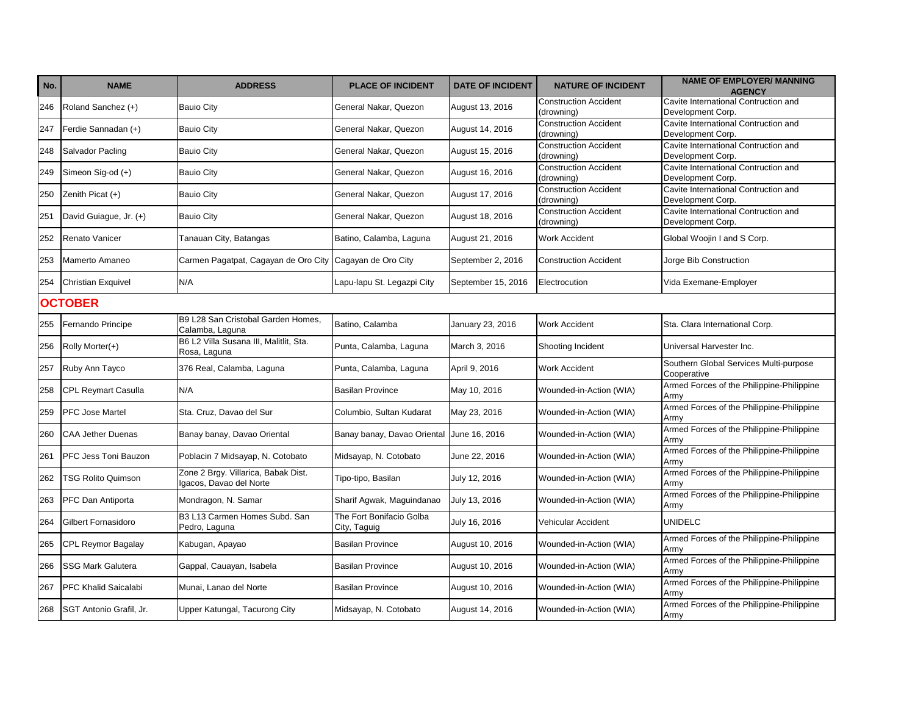| No. | <b>NAME</b>               | <b>ADDRESS</b>                                                 | <b>PLACE OF INCIDENT</b>                 | <b>DATE OF INCIDENT</b> | <b>NATURE OF INCIDENT</b>                  | <b>NAME OF EMPLOYER/ MANNING</b><br><b>AGENCY</b>         |  |  |  |  |
|-----|---------------------------|----------------------------------------------------------------|------------------------------------------|-------------------------|--------------------------------------------|-----------------------------------------------------------|--|--|--|--|
| 246 | Roland Sanchez (+)        | <b>Bauio City</b>                                              | General Nakar, Quezon                    | August 13, 2016         | <b>Construction Accident</b><br>(drowning) | Cavite International Contruction and<br>Development Corp. |  |  |  |  |
| 247 | Ferdie Sannadan (+)       | <b>Bauio City</b>                                              | General Nakar, Quezon                    | August 14, 2016         | <b>Construction Accident</b><br>(drowning) | Cavite International Contruction and<br>Development Corp. |  |  |  |  |
| 248 | Salvador Pacling          | <b>Bauio City</b>                                              | General Nakar, Quezon                    | August 15, 2016         | <b>Construction Accident</b><br>(drowning) | Cavite International Contruction and<br>Development Corp. |  |  |  |  |
| 249 | Simeon Sig-od (+)         | <b>Bauio City</b>                                              | General Nakar, Quezon                    | August 16, 2016         | Construction Accident<br>(drowning)        | Cavite International Contruction and<br>Development Corp. |  |  |  |  |
| 250 | Zenith Picat (+)          | <b>Bauio City</b>                                              | General Nakar, Quezon                    | August 17, 2016         | <b>Construction Accident</b><br>(drowning) | Cavite International Contruction and<br>Development Corp. |  |  |  |  |
| 251 | David Guiague, Jr. (+)    | <b>Bauio City</b>                                              | General Nakar, Quezon                    | August 18, 2016         | Construction Accident<br>(drowning)        | Cavite International Contruction and<br>Development Corp. |  |  |  |  |
| 252 | Renato Vanicer            | Tanauan City, Batangas                                         | Batino, Calamba, Laguna                  | August 21, 2016         | Work Accident                              | Global Woojin I and S Corp.                               |  |  |  |  |
| 253 | Mamerto Amaneo            | Carmen Pagatpat, Cagayan de Oro City   Cagayan de Oro City     |                                          | September 2, 2016       | <b>Construction Accident</b>               | Jorge Bib Construction                                    |  |  |  |  |
| 254 | Christian Exquivel        | N/A                                                            | Lapu-lapu St. Legazpi City               | September 15, 2016      | Electrocution                              | Vida Exemane-Employer                                     |  |  |  |  |
|     | <b>OCTOBER</b>            |                                                                |                                          |                         |                                            |                                                           |  |  |  |  |
| 255 | Fernando Principe         | B9 L28 San Cristobal Garden Homes,<br>Calamba, Laguna          | Batino, Calamba                          | January 23, 2016        | <b>Work Accident</b>                       | Sta. Clara International Corp.                            |  |  |  |  |
| 256 | Rolly Morter(+)           | B6 L2 Villa Susana III, Malitlit, Sta.<br>Rosa, Laguna         | Punta, Calamba, Laguna                   | March 3, 2016           | Shooting Incident                          | Universal Harvester Inc.                                  |  |  |  |  |
| 257 | Ruby Ann Tayco            | 376 Real, Calamba, Laguna                                      | Punta, Calamba, Laguna                   | April 9, 2016           | <b>Work Accident</b>                       | Southern Global Services Multi-purpose<br>Cooperative     |  |  |  |  |
| 258 | CPL Reymart Casulla       | N/A                                                            | <b>Basilan Province</b>                  | May 10, 2016            | Wounded-in-Action (WIA)                    | Armed Forces of the Philippine-Philippine<br>Army         |  |  |  |  |
| 259 | PFC Jose Martel           | Sta. Cruz, Davao del Sur                                       | Columbio, Sultan Kudarat                 | May 23, 2016            | Wounded-in-Action (WIA)                    | Armed Forces of the Philippine-Philippine<br>Army         |  |  |  |  |
| 260 | <b>CAA Jether Duenas</b>  | Banay banay, Davao Oriental                                    | Banay banay, Davao Oriental              | June 16, 2016           | Wounded-in-Action (WIA)                    | Armed Forces of the Philippine-Philippine<br>Army         |  |  |  |  |
| 261 | PFC Jess Toni Bauzon      | Poblacin 7 Midsayap, N. Cotobato                               | Midsayap, N. Cotobato                    | June 22, 2016           | Wounded-in-Action (WIA)                    | Armed Forces of the Philippine-Philippine<br>Army         |  |  |  |  |
| 262 | <b>TSG Rolito Quimson</b> | Zone 2 Brgy. Villarica, Babak Dist.<br>Igacos, Davao del Norte | Tipo-tipo, Basilan                       | July 12, 2016           | Wounded-in-Action (WIA)                    | Armed Forces of the Philippine-Philippine<br>Army         |  |  |  |  |
| 263 | PFC Dan Antiporta         | Mondragon, N. Samar                                            | Sharif Agwak, Maguindanao                | July 13, 2016           | Wounded-in-Action (WIA)                    | Armed Forces of the Philippine-Philippine<br>Army         |  |  |  |  |
| 264 | Gilbert Fornasidoro       | B3 L13 Carmen Homes Subd. San<br>Pedro, Laguna                 | The Fort Bonifacio Golba<br>City, Taguig | July 16, 2016           | Vehicular Accident                         | <b>UNIDELC</b>                                            |  |  |  |  |
| 265 | CPL Reymor Bagalay        | Kabugan, Apayao                                                | <b>Basilan Province</b>                  | August 10, 2016         | Wounded-in-Action (WIA)                    | Armed Forces of the Philippine-Philippine<br>Army         |  |  |  |  |
| 266 | <b>SSG Mark Galutera</b>  | Gappal, Cauayan, Isabela                                       | <b>Basilan Province</b>                  | August 10, 2016         | Wounded-in-Action (WIA)                    | Armed Forces of the Philippine-Philippine<br>Army         |  |  |  |  |
| 267 | PFC Khalid Saicalabi      | Munai, Lanao del Norte                                         | <b>Basilan Province</b>                  | August 10, 2016         | Wounded-in-Action (WIA)                    | Armed Forces of the Philippine-Philippine<br>Army         |  |  |  |  |
| 268 | SGT Antonio Grafil, Jr.   | Upper Katungal, Tacurong City                                  | Midsayap, N. Cotobato                    | August 14, 2016         | Wounded-in-Action (WIA)                    | Armed Forces of the Philippine-Philippine<br>Army         |  |  |  |  |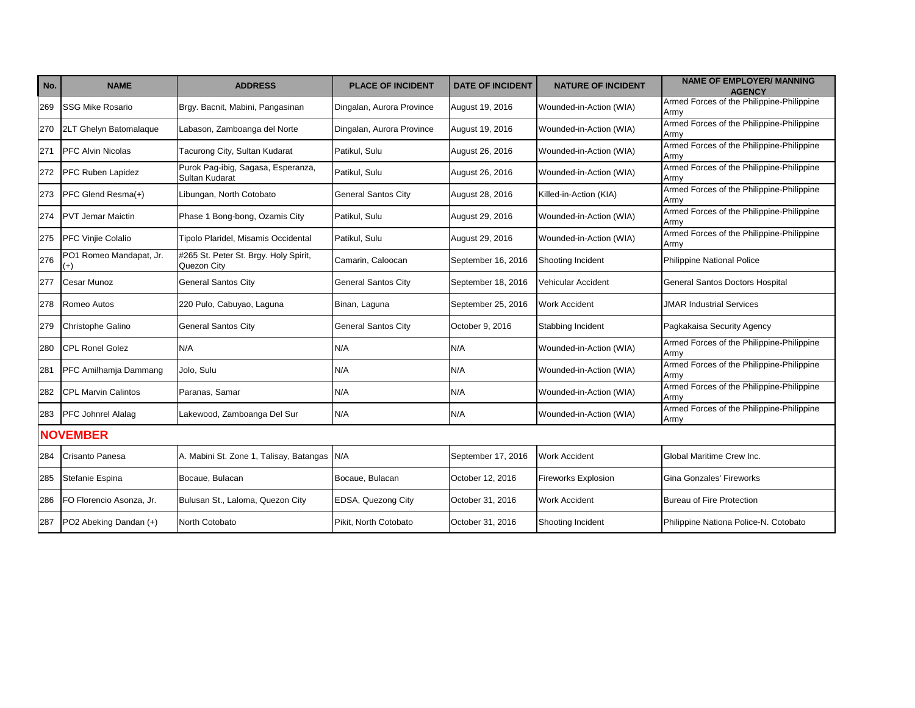| No.             | <b>NAME</b>                    | <b>ADDRESS</b>                                       | <b>PLACE OF INCIDENT</b>   | <b>DATE OF INCIDENT</b> | <b>NATURE OF INCIDENT</b>  | <b>NAME OF EMPLOYER/ MANNING</b><br><b>AGENCY</b> |  |  |  |
|-----------------|--------------------------------|------------------------------------------------------|----------------------------|-------------------------|----------------------------|---------------------------------------------------|--|--|--|
| 269             | <b>SSG Mike Rosario</b>        | Brgy. Bacnit, Mabini, Pangasinan                     | Dingalan, Aurora Province  | August 19, 2016         | Wounded-in-Action (WIA)    | Armed Forces of the Philippine-Philippine<br>Armv |  |  |  |
| 270             | 2LT Ghelyn Batomalaque         | Labason, Zamboanga del Norte                         | Dingalan, Aurora Province  | August 19, 2016         | Wounded-in-Action (WIA)    | Armed Forces of the Philippine-Philippine<br>Armv |  |  |  |
| 271             | <b>PFC Alvin Nicolas</b>       | Tacurong City, Sultan Kudarat                        | Patikul, Sulu              | August 26, 2016         | Wounded-in-Action (WIA)    | Armed Forces of the Philippine-Philippine<br>Armv |  |  |  |
| 272             | <b>PFC Ruben Lapidez</b>       | Purok Pag-ibig, Sagasa, Esperanza,<br>Sultan Kudarat | Patikul, Sulu              | August 26, 2016         | Wounded-in-Action (WIA)    | Armed Forces of the Philippine-Philippine<br>Armv |  |  |  |
| 273             | PFC Glend Resma(+)             | Libungan, North Cotobato                             | <b>General Santos City</b> | August 28, 2016         | Killed-in-Action (KIA)     | Armed Forces of the Philippine-Philippine<br>Army |  |  |  |
| 274             | <b>PVT Jemar Maictin</b>       | Phase 1 Bong-bong, Ozamis City                       | Patikul, Sulu              | August 29, 2016         | Wounded-in-Action (WIA)    | Armed Forces of the Philippine-Philippine<br>Army |  |  |  |
| 275             | <b>PFC Vinjie Colalio</b>      | Tipolo Plaridel, Misamis Occidental                  | Patikul, Sulu              | August 29, 2016         | Wounded-in-Action (WIA)    | Armed Forces of the Philippine-Philippine<br>Army |  |  |  |
| 276             | PO1 Romeo Mandapat, Jr.<br>(+) | #265 St. Peter St. Brgy. Holy Spirit,<br>Quezon City | Camarin, Caloocan          | September 16, 2016      | Shooting Incident          | <b>Philippine National Police</b>                 |  |  |  |
| 277             | Cesar Munoz                    | <b>General Santos City</b>                           | <b>General Santos City</b> | September 18, 2016      | Vehicular Accident         | <b>General Santos Doctors Hospital</b>            |  |  |  |
| 278             | Romeo Autos                    | 220 Pulo, Cabuyao, Laguna                            | Binan, Laguna              | September 25, 2016      | <b>Work Accident</b>       | <b>JMAR Industrial Services</b>                   |  |  |  |
| 279             | Christophe Galino              | <b>General Santos City</b>                           | <b>General Santos City</b> | October 9, 2016         | Stabbing Incident          | Pagkakaisa Security Agency                        |  |  |  |
| 280             | <b>CPL Ronel Golez</b>         | N/A                                                  | N/A                        | N/A                     | Wounded-in-Action (WIA)    | Armed Forces of the Philippine-Philippine<br>Army |  |  |  |
| 281             | <b>PFC Amilhamia Dammang</b>   | Jolo, Sulu                                           | N/A                        | N/A                     | Wounded-in-Action (WIA)    | Armed Forces of the Philippine-Philippine<br>Army |  |  |  |
| 282             | <b>CPL Marvin Calintos</b>     | Paranas, Samar                                       | N/A                        | N/A                     | Wounded-in-Action (WIA)    | Armed Forces of the Philippine-Philippine<br>Army |  |  |  |
| 283             | <b>PFC Johnrel Alalag</b>      | Lakewood, Zamboanga Del Sur                          | N/A                        | N/A                     | Wounded-in-Action (WIA)    | Armed Forces of the Philippine-Philippine<br>Army |  |  |  |
| <b>NOVEMBER</b> |                                |                                                      |                            |                         |                            |                                                   |  |  |  |
| 284             | Crisanto Panesa                | A. Mabini St. Zone 1, Talisay, Batangas              | N/A                        | September 17, 2016      | <b>Work Accident</b>       | Global Maritime Crew Inc.                         |  |  |  |
| 285             | Stefanie Espina                | Bocaue, Bulacan                                      | Bocaue, Bulacan            | October 12, 2016        | <b>Fireworks Explosion</b> | Gina Gonzales' Fireworks                          |  |  |  |
| 286             | FO Florencio Asonza, Jr.       | Bulusan St., Laloma, Quezon City                     | EDSA, Quezong City         | October 31, 2016        | <b>Work Accident</b>       | <b>Bureau of Fire Protection</b>                  |  |  |  |
| 287             | PO2 Abeking Dandan (+)         | North Cotobato                                       | Pikit, North Cotobato      | October 31, 2016        | Shooting Incident          | Philippine Nationa Police-N. Cotobato             |  |  |  |